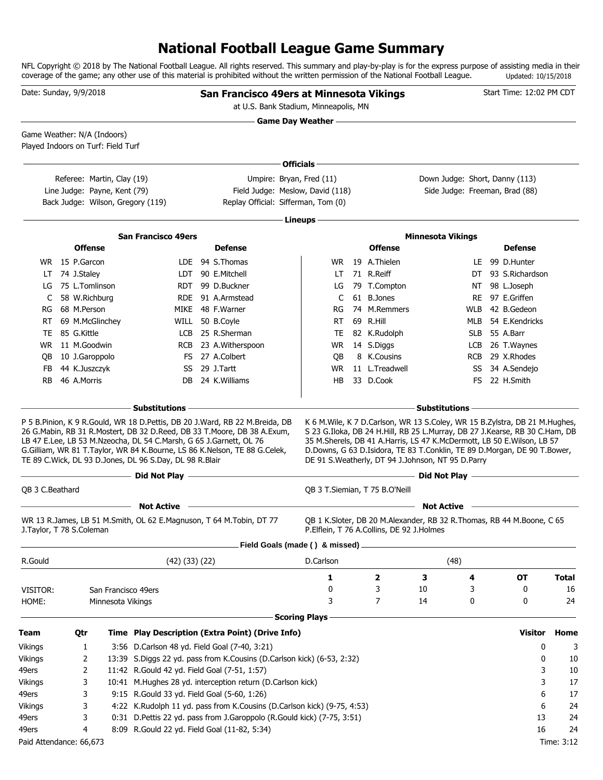## **National Football League Game Summary**

NFL Copyright © 2018 by The National Football League. All rights reserved. This summary and play-by-play is for the express purpose of assisting media in their coverage of the game; any other use of this material is prohibited without the written permission of the National Football League. Updated: 10/15/2018

| Date: Sunday, 9/9/2018                                            |                 |                              |                                                                                                                               | San Francisco 49ers at Minnesota Vikings<br>at U.S. Bank Stadium, Minneapolis, MN                                                                                                                                                   |                            |                                           |                                                                                                                                                                                                                                                                                                                                                                              |     | Start Time: 12:02 PM CDT |              |
|-------------------------------------------------------------------|-----------------|------------------------------|-------------------------------------------------------------------------------------------------------------------------------|-------------------------------------------------------------------------------------------------------------------------------------------------------------------------------------------------------------------------------------|----------------------------|-------------------------------------------|------------------------------------------------------------------------------------------------------------------------------------------------------------------------------------------------------------------------------------------------------------------------------------------------------------------------------------------------------------------------------|-----|--------------------------|--------------|
|                                                                   |                 |                              |                                                                                                                               |                                                                                                                                                                                                                                     | <b>Game Day Weather --</b> |                                           |                                                                                                                                                                                                                                                                                                                                                                              |     |                          |              |
| Game Weather: N/A (Indoors)<br>Played Indoors on Turf: Field Turf |                 |                              |                                                                                                                               |                                                                                                                                                                                                                                     |                            |                                           |                                                                                                                                                                                                                                                                                                                                                                              |     |                          |              |
|                                                                   |                 |                              |                                                                                                                               |                                                                                                                                                                                                                                     | Officials-                 |                                           |                                                                                                                                                                                                                                                                                                                                                                              |     |                          |              |
|                                                                   |                 | Referee: Martin, Clay (19)   |                                                                                                                               | Umpire: Bryan, Fred (11)                                                                                                                                                                                                            |                            |                                           | Down Judge: Short, Danny (113)                                                                                                                                                                                                                                                                                                                                               |     |                          |              |
|                                                                   |                 | Line Judge: Payne, Kent (79) |                                                                                                                               | Field Judge: Meslow, David (118)                                                                                                                                                                                                    |                            |                                           | Side Judge: Freeman, Brad (88)                                                                                                                                                                                                                                                                                                                                               |     |                          |              |
|                                                                   |                 |                              | Back Judge: Wilson, Gregory (119)                                                                                             | Replay Official: Sifferman, Tom (0)                                                                                                                                                                                                 |                            |                                           |                                                                                                                                                                                                                                                                                                                                                                              |     |                          |              |
|                                                                   |                 |                              |                                                                                                                               |                                                                                                                                                                                                                                     | - Lineups –                |                                           |                                                                                                                                                                                                                                                                                                                                                                              |     |                          |              |
|                                                                   |                 |                              |                                                                                                                               |                                                                                                                                                                                                                                     |                            |                                           |                                                                                                                                                                                                                                                                                                                                                                              |     |                          |              |
|                                                                   | <b>Offense</b>  |                              | <b>San Francisco 49ers</b>                                                                                                    | <b>Defense</b>                                                                                                                                                                                                                      |                            | <b>Offense</b>                            | <b>Minnesota Vikings</b>                                                                                                                                                                                                                                                                                                                                                     |     | <b>Defense</b>           |              |
|                                                                   | WR 15 P.Garcon  |                              |                                                                                                                               | LDE 94 S. Thomas                                                                                                                                                                                                                    |                            | WR 19 A.Thielen                           |                                                                                                                                                                                                                                                                                                                                                                              |     | LE 99 D.Hunter           |              |
|                                                                   | LT 74 J.Staley  |                              |                                                                                                                               | LDT 90 E.Mitchell                                                                                                                                                                                                                   | LT                         | 71 R.Reiff                                |                                                                                                                                                                                                                                                                                                                                                                              |     | DT 93 S.Richardson       |              |
| LG                                                                | 75 L.Tomlinson  |                              |                                                                                                                               | RDT 99 D.Buckner                                                                                                                                                                                                                    | LG                         | 79 T.Compton                              |                                                                                                                                                                                                                                                                                                                                                                              |     | NT 98 L.Joseph           |              |
| C                                                                 | 58 W.Richburg   |                              |                                                                                                                               | RDE 91 A.Armstead                                                                                                                                                                                                                   | C                          | 61 B.Jones                                |                                                                                                                                                                                                                                                                                                                                                                              |     | RE 97 E.Griffen          |              |
| RG                                                                | 68 M.Person     |                              |                                                                                                                               | MIKE 48 F.Warner                                                                                                                                                                                                                    | RG                         | 74 M.Remmers                              |                                                                                                                                                                                                                                                                                                                                                                              | WLB | 42 B.Gedeon              |              |
| <b>RT</b>                                                         | 69 M.McGlinchey |                              |                                                                                                                               | WILL 50 B.Coyle                                                                                                                                                                                                                     | RT                         | 69 R.Hill                                 |                                                                                                                                                                                                                                                                                                                                                                              |     | MLB 54 E.Kendricks       |              |
| TE.                                                               | 85 G.Kittle     |                              |                                                                                                                               | LCB 25 R.Sherman                                                                                                                                                                                                                    | TE                         | 82 K.Rudolph                              |                                                                                                                                                                                                                                                                                                                                                                              |     | SLB 55 A.Barr            |              |
|                                                                   | WR 11 M.Goodwin |                              |                                                                                                                               | RCB 23 A.Witherspoon                                                                                                                                                                                                                |                            | WR 14 S.Diggs                             |                                                                                                                                                                                                                                                                                                                                                                              |     | LCB 26 T.Waynes          |              |
| OВ                                                                | 10 J.Garoppolo  |                              |                                                                                                                               | FS 27 A.Colbert                                                                                                                                                                                                                     | QB                         | 8 K.Cousins                               |                                                                                                                                                                                                                                                                                                                                                                              |     | RCB 29 X.Rhodes          |              |
| FB                                                                | 44 K.Juszczyk   |                              |                                                                                                                               | SS 29 J.Tartt                                                                                                                                                                                                                       | WR.                        | 11 L.Treadwell                            |                                                                                                                                                                                                                                                                                                                                                                              |     | SS 34 A.Sendejo          |              |
| RB.                                                               | 46 A.Morris     |                              | DB                                                                                                                            | 24 K.Williams                                                                                                                                                                                                                       | HB                         | 33 D.Cook                                 |                                                                                                                                                                                                                                                                                                                                                                              | FS. | 22 H.Smith               |              |
|                                                                   |                 |                              |                                                                                                                               |                                                                                                                                                                                                                                     |                            |                                           |                                                                                                                                                                                                                                                                                                                                                                              |     |                          |              |
|                                                                   |                 |                              | <b>Substitutions -</b>                                                                                                        |                                                                                                                                                                                                                                     |                            |                                           | <b>Substitutions</b>                                                                                                                                                                                                                                                                                                                                                         |     |                          |              |
|                                                                   |                 |                              | LB 47 E.Lee, LB 53 M.Nzeocha, DL 54 C.Marsh, G 65 J.Garnett, OL 76<br>TE 89 C.Wick, DL 93 D.Jones, DL 96 S.Day, DL 98 R.Blair | P 5 B.Pinion, K 9 R.Gould, WR 18 D.Pettis, DB 20 J.Ward, RB 22 M.Breida, DB<br>26 G.Mabin, RB 31 R.Mostert, DB 32 D.Reed, DB 33 T.Moore, DB 38 A.Exum,<br>G.Gilliam, WR 81 T.Taylor, WR 84 K.Bourne, LS 86 K.Nelson, TE 88 G.Celek, |                            |                                           | K 6 M. Wile, K 7 D. Carlson, WR 13 S. Coley, WR 15 B. Zylstra, DB 21 M. Hughes,<br>S 23 G.Iloka, DB 24 H.Hill, RB 25 L.Murray, DB 27 J.Kearse, RB 30 C.Ham, DB<br>35 M.Sherels, DB 41 A.Harris, LS 47 K.McDermott, LB 50 E.Wilson, LB 57<br>D.Downs, G 63 D.Isidora, TE 83 T.Conklin, TE 89 D.Morgan, DE 90 T.Bower,<br>DE 91 S. Weatherly, DT 94 J. Johnson, NT 95 D. Parry |     |                          |              |
|                                                                   |                 |                              | $-$ Did Not Play $-$                                                                                                          |                                                                                                                                                                                                                                     |                            |                                           | Did Not Play -                                                                                                                                                                                                                                                                                                                                                               |     |                          |              |
| QB 3 C.Beathard                                                   |                 |                              |                                                                                                                               |                                                                                                                                                                                                                                     |                            | QB 3 T.Siemian, T 75 B.O'Neill            |                                                                                                                                                                                                                                                                                                                                                                              |     |                          |              |
|                                                                   |                 |                              | <b>Not Active</b>                                                                                                             |                                                                                                                                                                                                                                     |                            |                                           | <b>Not Active</b>                                                                                                                                                                                                                                                                                                                                                            |     |                          |              |
| J. Taylor, T 78 S. Coleman                                        |                 |                              |                                                                                                                               | WR 13 R.James, LB 51 M.Smith, OL 62 E.Magnuson, T 64 M.Tobin, DT 77                                                                                                                                                                 |                            | P.Elflein, T 76 A.Collins, DE 92 J.Holmes | QB 1 K.Sloter, DB 20 M.Alexander, RB 32 R.Thomas, RB 44 M.Boone, C 65                                                                                                                                                                                                                                                                                                        |     |                          |              |
|                                                                   |                 |                              |                                                                                                                               | Field Goals (made () & missed).                                                                                                                                                                                                     |                            |                                           |                                                                                                                                                                                                                                                                                                                                                                              |     |                          |              |
| R.Gould                                                           |                 |                              | $(42)$ $(33)$ $(22)$                                                                                                          |                                                                                                                                                                                                                                     | D.Carlson                  |                                           | (48)                                                                                                                                                                                                                                                                                                                                                                         |     |                          |              |
|                                                                   |                 |                              |                                                                                                                               |                                                                                                                                                                                                                                     | 1                          | 2                                         | З                                                                                                                                                                                                                                                                                                                                                                            | 4   | OT                       | <b>Total</b> |
| VISITOR:                                                          |                 | San Francisco 49ers          |                                                                                                                               |                                                                                                                                                                                                                                     | 0                          | 3                                         | 10                                                                                                                                                                                                                                                                                                                                                                           | 3   | 0                        | 16           |
| HOME:                                                             |                 | Minnesota Vikings            |                                                                                                                               |                                                                                                                                                                                                                                     | 3                          | 7                                         | 14                                                                                                                                                                                                                                                                                                                                                                           | 0   | 0                        | 24           |
|                                                                   |                 |                              |                                                                                                                               |                                                                                                                                                                                                                                     | <b>Scoring Plays</b>       |                                           |                                                                                                                                                                                                                                                                                                                                                                              |     |                          |              |
| Team                                                              | Qtr             |                              |                                                                                                                               | Time Play Description (Extra Point) (Drive Info)                                                                                                                                                                                    |                            |                                           |                                                                                                                                                                                                                                                                                                                                                                              |     | <b>Visitor</b>           | Home         |
| Vikings                                                           | 1               |                              | 3:56 D.Carlson 48 yd. Field Goal (7-40, 3:21)                                                                                 |                                                                                                                                                                                                                                     |                            |                                           |                                                                                                                                                                                                                                                                                                                                                                              |     | 0                        | 3            |
| Vikings                                                           | 2               |                              |                                                                                                                               | 13:39 S.Diggs 22 yd. pass from K.Cousins (D.Carlson kick) (6-53, 2:32)                                                                                                                                                              |                            |                                           |                                                                                                                                                                                                                                                                                                                                                                              |     | 0                        | 10           |
| 49ers                                                             | 2               |                              | 11:42 R.Gould 42 yd. Field Goal (7-51, 1:57)                                                                                  |                                                                                                                                                                                                                                     |                            |                                           |                                                                                                                                                                                                                                                                                                                                                                              |     | 3                        | 10           |
| Vikings                                                           | 3               |                              |                                                                                                                               | 10:41 M.Hughes 28 yd. interception return (D.Carlson kick)                                                                                                                                                                          |                            |                                           |                                                                                                                                                                                                                                                                                                                                                                              |     | 3                        | 17           |
| 49ers                                                             | 3               |                              | 9:15 R.Gould 33 yd. Field Goal (5-60, 1:26)                                                                                   |                                                                                                                                                                                                                                     |                            |                                           |                                                                                                                                                                                                                                                                                                                                                                              |     | 6                        | 17           |
| Vikings                                                           | 3               |                              |                                                                                                                               | 4:22 K.Rudolph 11 yd. pass from K.Cousins (D.Carlson kick) (9-75, 4:53)                                                                                                                                                             |                            |                                           |                                                                                                                                                                                                                                                                                                                                                                              |     | 6                        | 24           |
| 49ers                                                             | 3               |                              |                                                                                                                               | 0:31 D.Pettis 22 yd. pass from J.Garoppolo (R.Gould kick) (7-75, 3:51)                                                                                                                                                              |                            |                                           |                                                                                                                                                                                                                                                                                                                                                                              |     | 13                       | 24           |
| 49ers                                                             | 4               |                              | 8:09 R.Gould 22 yd. Field Goal (11-82, 5:34)                                                                                  |                                                                                                                                                                                                                                     |                            |                                           |                                                                                                                                                                                                                                                                                                                                                                              |     | 16                       | 24           |
| Paid Attendance: 66,673                                           |                 |                              |                                                                                                                               |                                                                                                                                                                                                                                     |                            |                                           |                                                                                                                                                                                                                                                                                                                                                                              |     |                          | Time: 3:12   |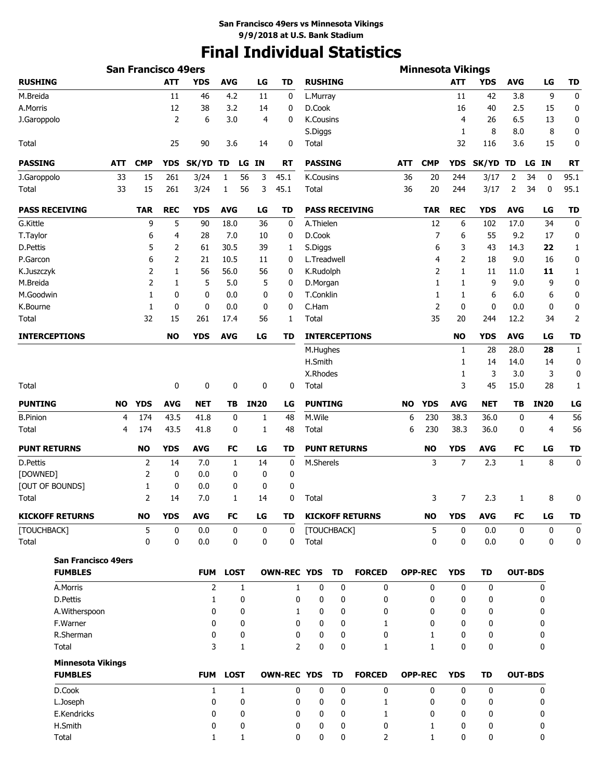# **Final Individual Statistics**

|                                            |            | <b>San Francisco 49ers</b> |            |                     |                   |                |                     |                  |                     |                              |            | <b>Minnesota Vikings</b> |              |            |              |                   |                |
|--------------------------------------------|------------|----------------------------|------------|---------------------|-------------------|----------------|---------------------|------------------|---------------------|------------------------------|------------|--------------------------|--------------|------------|--------------|-------------------|----------------|
| <b>RUSHING</b>                             |            |                            | <b>ATT</b> | <b>YDS</b>          | <b>AVG</b>        | LG             | TD                  | <b>RUSHING</b>   |                     |                              |            |                          | <b>ATT</b>   | <b>YDS</b> | <b>AVG</b>   | LG                | TD             |
| M.Breida                                   |            |                            | 11         | 46                  | 4.2               | 11             | 0                   | L.Murray         |                     |                              |            |                          | 11           | 42         | 3.8          | 9                 | 0              |
| A.Morris                                   |            |                            | 12         | 38                  | 3.2               | 14             | 0                   | D.Cook           |                     |                              |            |                          | 16           | 40         | 2.5          | 15                | 0              |
| J.Garoppolo                                |            |                            | 2          | 6                   | 3.0               | $\overline{4}$ | 0                   | K.Cousins        |                     |                              |            |                          | 4            | 26         | 6.5          | 13                | 0              |
|                                            |            |                            |            |                     |                   |                |                     | S.Diggs          |                     |                              |            |                          | 1            | 8          | 8.0          | 8                 | 0              |
| Total                                      |            |                            | 25         | 90                  | 3.6               | 14             | 0                   | Total            |                     |                              |            |                          | 32           | 116        | 3.6          | 15                | 0              |
| <b>PASSING</b>                             | <b>ATT</b> | <b>CMP</b>                 | <b>YDS</b> | SK/YD TD            | LG                | ΙN             | RT                  | <b>PASSING</b>   |                     |                              | <b>ATT</b> | <b>CMP</b>               | <b>YDS</b>   | SK/YD TD   |              | <b>IN</b><br>LG   | <b>RT</b>      |
| J.Garoppolo                                | 33         | 15                         | 261        | 3/24                | 1                 | 56<br>3        | 45.1                | K.Cousins        |                     |                              | 36         | 20                       | 244          | 3/17       | 2            | 34<br>0           | 95.1           |
| Total                                      | 33         | 15                         | 261        | 3/24                | 1                 | 56<br>3        | 45.1                | Total            |                     |                              | 36         | 20                       | 244          | 3/17       | 2            | 34<br>$\mathbf 0$ | 95.1           |
| <b>PASS RECEIVING</b>                      |            | <b>TAR</b>                 | <b>REC</b> | <b>YDS</b>          | <b>AVG</b>        | LG             | TD                  |                  |                     | <b>PASS RECEIVING</b>        |            | <b>TAR</b>               | <b>REC</b>   | <b>YDS</b> | <b>AVG</b>   | LG                | <b>TD</b>      |
| G.Kittle                                   |            | 9                          | 5          | 90                  | 18.0              | 36             | 0                   | A.Thielen        |                     |                              |            | 12                       | 6            | 102        | 17.0         | 34                | 0              |
| T.Taylor                                   |            | 6                          | 4          | 28                  | 7.0               | 10             | 0                   | D.Cook           |                     |                              |            | 7                        | 6            | 55         | 9.2          | 17                | 0              |
| D.Pettis                                   |            | 5                          | 2          | 61                  | 30.5              | 39             | 1                   | S.Diggs          |                     |                              |            | 6                        | 3            | 43         | 14.3         | 22                | 1              |
| P.Garcon                                   |            | 6                          | 2          | 21                  | 10.5              | 11             | 0                   | L.Treadwell      |                     |                              |            | 4                        | 2            | 18         | 9.0          | 16                | 0              |
| K.Juszczyk                                 |            | $\overline{2}$             | 1          | 56                  | 56.0              | 56             | 0                   | K.Rudolph        |                     |                              |            | $\overline{2}$           | 1            | 11         | 11.0         | 11                | $\mathbf{1}$   |
| M.Breida                                   |            | $\overline{2}$             | 1          | 5                   | 5.0               | 5              | 0                   | D.Morgan         |                     |                              |            | 1                        | 1            | 9          | 9.0          | 9                 | 0              |
| M.Goodwin                                  |            | $\mathbf{1}$               | 0          | 0                   | 0.0               | 0              | 0                   | T.Conklin        |                     |                              |            | 1                        | 1            | 6          | 6.0          | 6                 | 0              |
| K.Bourne                                   |            | 1                          | 0          | 0                   | 0.0               | 0              | 0                   | C.Ham            |                     |                              |            | $\overline{2}$           | 0            | 0          | 0.0          | 0                 | 0              |
| Total                                      |            | 32                         | 15         | 261                 | 17.4              | 56             | 1                   | Total            |                     |                              |            | 35                       | 20           | 244        | 12.2         | 34                | $\overline{2}$ |
| <b>INTERCEPTIONS</b>                       |            |                            | <b>NO</b>  | <b>YDS</b>          | <b>AVG</b>        | LG             | TD                  |                  |                     | <b>INTERCEPTIONS</b>         |            |                          | NO           | <b>YDS</b> | <b>AVG</b>   | LG                | <b>TD</b>      |
|                                            |            |                            |            |                     |                   |                |                     | M.Hughes         |                     |                              |            |                          | 1            | 28         | 28.0         | 28                | 1              |
|                                            |            |                            |            |                     |                   |                |                     | H.Smith          |                     |                              |            |                          | 1            | 14         | 14.0         | 14                | 0              |
|                                            |            |                            |            |                     |                   |                |                     | X.Rhodes         |                     |                              |            |                          | 1            | 3          | 3.0          | 3                 | 0              |
| Total                                      |            |                            | 0          | 0                   | 0                 | 0              | 0                   | Total            |                     |                              |            |                          | 3            | 45         | 15.0         | 28                | 1              |
| <b>PUNTING</b>                             | <b>NO</b>  | <b>YDS</b>                 | <b>AVG</b> | <b>NET</b>          | TВ                | <b>IN20</b>    | LG                  | <b>PUNTING</b>   |                     |                              | <b>NO</b>  | <b>YDS</b>               | <b>AVG</b>   | <b>NET</b> | ΤB           | <b>IN20</b>       | LG             |
| <b>B.Pinion</b>                            | 4          | 174                        | 43.5       | 41.8                | 0                 | 1              | 48                  | M.Wile           |                     |                              | 6          | 230                      | 38.3         | 36.0       | 0            | 4                 | 56             |
| Total                                      | 4          | 174                        | 43.5       | 41.8                | 0                 | 1              | 48                  | Total            |                     |                              | 6          | 230                      | 38.3         | 36.0       | 0            | 4                 | 56             |
| <b>PUNT RETURNS</b>                        |            | <b>NO</b>                  | <b>YDS</b> | <b>AVG</b>          | FC                | LG             | TD                  |                  | <b>PUNT RETURNS</b> |                              |            | <b>NO</b>                | <b>YDS</b>   | <b>AVG</b> | FC           | LG                | <b>TD</b>      |
| D.Pettis                                   |            | 2                          | 14         | 7.0                 | 1                 | 14             | 0                   | M.Sherels        |                     |                              |            | 3                        | 7            | 2.3        | $\mathbf{1}$ | 8                 | 0              |
| [DOWNED]                                   |            | 2                          | 0          | 0.0                 | 0                 | 0              | 0                   |                  |                     |                              |            |                          |              |            |              |                   |                |
| [OUT OF BOUNDS]                            |            | 1                          | 0          | 0.0                 | 0                 | 0              | 0                   |                  |                     |                              |            |                          |              |            |              |                   |                |
| Total                                      |            | 2                          | 14         | 7.0                 | 1                 | 14             | 0                   | Total            |                     |                              |            | 3                        | 7            | 2.3        | 1            | 8                 | 0              |
| <b>KICKOFF RETURNS</b>                     |            | <b>NO</b>                  | <b>YDS</b> | <b>AVG</b>          | FC                | LG             | TD                  |                  |                     | <b>KICKOFF RETURNS</b>       |            | <b>NO</b>                | <b>YDS</b>   | <b>AVG</b> | FC           | LG                | <b>TD</b>      |
| [TOUCHBACK]                                |            | 5                          | 0          | 0.0                 | 0                 | 0              | 0                   |                  | [TOUCHBACK]         |                              |            | 5                        | $\mathbf{0}$ | 0.0        | 0            | 0                 | 0              |
| Total                                      |            | 0                          | 0          | 0.0                 | 0                 | 0              | 0                   | Total            |                     |                              |            | 0                        | 0            | 0.0        | 0            | 0                 | 0              |
| <b>San Francisco 49ers</b>                 |            |                            |            |                     |                   |                |                     |                  |                     |                              |            |                          |              |            |              |                   |                |
| <b>FUMBLES</b>                             |            |                            |            | <b>FUM</b>          | <b>LOST</b>       |                | <b>OWN-REC YDS</b>  |                  | TD                  | <b>FORCED</b>                |            | <b>OPP-REC</b>           | <b>YDS</b>   | <b>TD</b>  |              | <b>OUT-BDS</b>    |                |
| A.Morris<br>D.Pettis                       |            |                            |            | $\overline{2}$<br>1 | $\mathbf{1}$<br>0 |                | $\mathbf{1}$<br>0   | 0<br>0           | 0<br>0              | 0<br>0                       |            | $\mathbf{0}$<br>0        | 0            | 0<br>0     |              | 0                 |                |
|                                            |            |                            |            |                     |                   |                |                     |                  |                     |                              |            |                          | 0            |            |              | 0                 |                |
| A.Witherspoon<br>F.Warner                  |            |                            |            | 0                   | 0                 |                | 1<br>$\mathbf{0}$   | 0                | 0<br>$\mathbf{0}$   | 0                            |            | 0                        | 0            | 0          |              | 0                 |                |
|                                            |            |                            |            | 0                   | 0                 |                |                     | 0                |                     | 1                            |            | 0                        | 0            | 0          |              | 0                 |                |
| R.Sherman<br>Total                         |            |                            |            | 0<br>3              | 0<br>1            |                | 0<br>$\overline{2}$ | 0<br>$\mathbf 0$ | 0<br>0              | $\mathbf{0}$<br>$\mathbf{1}$ |            | 1<br>1                   | 0<br>0       | 0<br>0     |              | 0<br>0            |                |
|                                            |            |                            |            |                     |                   |                |                     |                  |                     |                              |            |                          |              |            |              |                   |                |
| <b>Minnesota Vikings</b><br><b>FUMBLES</b> |            |                            |            | <b>FUM</b>          | <b>LOST</b>       |                | <b>OWN-REC YDS</b>  |                  | TD                  | <b>FORCED</b>                |            | <b>OPP-REC</b>           | <b>YDS</b>   | <b>TD</b>  |              | <b>OUT-BDS</b>    |                |
| D.Cook                                     |            |                            |            | 1                   | $\mathbf{1}$      |                | 0                   | $\mathbf 0$      | 0                   | 0                            |            | $\mathbf 0$              | 0            | 0          |              | 0                 |                |
| L.Joseph                                   |            |                            |            | 0                   | 0                 |                | 0                   | 0                | 0                   | $\mathbf{1}$                 |            | 0                        | 0            | 0          |              | 0                 |                |
| E.Kendricks                                |            |                            |            | 0                   | 0                 |                | 0                   | 0                | 0                   | $\mathbf{1}$                 |            | 0                        | 0            | 0          |              | 0                 |                |
| H.Smith                                    |            |                            |            | 0                   | 0                 |                | 0                   | 0                | 0                   | 0                            |            | 1                        | 0            | 0          |              | 0                 |                |
| Total                                      |            |                            |            | 1                   | 1                 |                | 0                   | 0                | 0                   | $\overline{2}$               |            | $\mathbf{1}$             | 0            | 0          |              | 0                 |                |
|                                            |            |                            |            |                     |                   |                |                     |                  |                     |                              |            |                          |              |            |              |                   |                |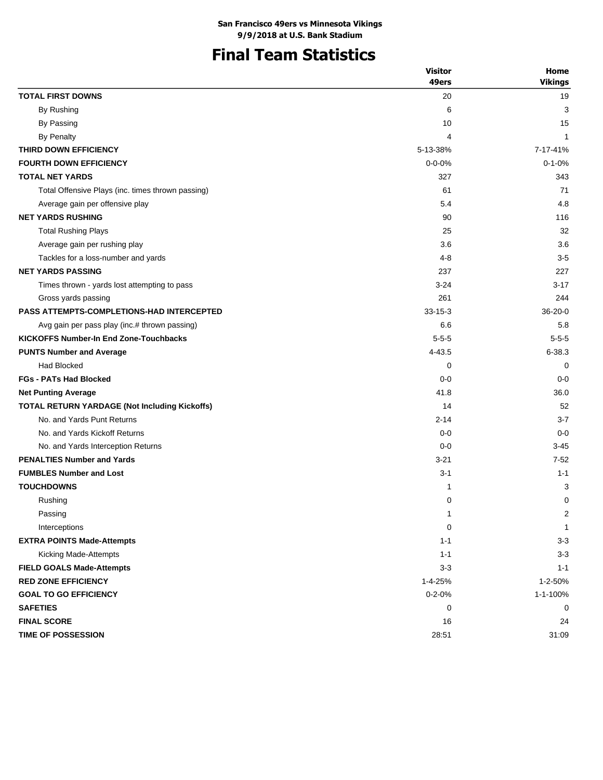# **Final Team Statistics**

|                                                   | <b>Visitor</b> | Home           |
|---------------------------------------------------|----------------|----------------|
|                                                   | 49ers          | <b>Vikings</b> |
| <b>TOTAL FIRST DOWNS</b>                          | 20             | 19             |
| By Rushing                                        | 6              | 3              |
| By Passing                                        | 10             | 15             |
| <b>By Penalty</b>                                 | 4              | $\mathbf{1}$   |
| THIRD DOWN EFFICIENCY                             | 5-13-38%       | 7-17-41%       |
| <b>FOURTH DOWN EFFICIENCY</b>                     | $0 - 0 - 0%$   | $0 - 1 - 0%$   |
| <b>TOTAL NET YARDS</b>                            | 327            | 343            |
| Total Offensive Plays (inc. times thrown passing) | 61             | 71             |
| Average gain per offensive play                   | 5.4            | 4.8            |
| <b>NET YARDS RUSHING</b>                          | 90             | 116            |
| <b>Total Rushing Plays</b>                        | 25             | 32             |
| Average gain per rushing play                     | 3.6            | 3.6            |
| Tackles for a loss-number and yards               | 4-8            | $3-5$          |
| <b>NET YARDS PASSING</b>                          | 237            | 227            |
| Times thrown - yards lost attempting to pass      | $3 - 24$       | $3 - 17$       |
| Gross yards passing                               | 261            | 244            |
| <b>PASS ATTEMPTS-COMPLETIONS-HAD INTERCEPTED</b>  | $33 - 15 - 3$  | $36 - 20 - 0$  |
| Avg gain per pass play (inc.# thrown passing)     | 6.6            | 5.8            |
| <b>KICKOFFS Number-In End Zone-Touchbacks</b>     | $5 - 5 - 5$    | $5 - 5 - 5$    |
| <b>PUNTS Number and Average</b>                   | 4-43.5         | $6 - 38.3$     |
| Had Blocked                                       | 0              | 0              |
| <b>FGs - PATs Had Blocked</b>                     | $0 - 0$        | $0 - 0$        |
| <b>Net Punting Average</b>                        | 41.8           | 36.0           |
| TOTAL RETURN YARDAGE (Not Including Kickoffs)     | 14             | 52             |
| No. and Yards Punt Returns                        | $2 - 14$       | $3 - 7$        |
| No. and Yards Kickoff Returns                     | $0 - 0$        | $0 - 0$        |
| No. and Yards Interception Returns                | $0 - 0$        | $3 - 45$       |
| <b>PENALTIES Number and Yards</b>                 | $3 - 21$       | $7-52$         |
| <b>FUMBLES Number and Lost</b>                    | $3 - 1$        | $1 - 1$        |
| <b>TOUCHDOWNS</b>                                 | 1              | 3              |
| Rushing                                           | 0              | 0              |
| Passing                                           | 1              | 2              |
| Interceptions                                     | 0              | 1              |
| <b>EXTRA POINTS Made-Attempts</b>                 | $1 - 1$        | $3 - 3$        |
| Kicking Made-Attempts                             | $1 - 1$        | $3-3$          |
| <b>FIELD GOALS Made-Attempts</b>                  | $3 - 3$        | $1 - 1$        |
| <b>RED ZONE EFFICIENCY</b>                        | 1-4-25%        | 1-2-50%        |
| <b>GOAL TO GO EFFICIENCY</b>                      | $0 - 2 - 0%$   | 1-1-100%       |
| <b>SAFETIES</b>                                   | 0              | 0              |
| <b>FINAL SCORE</b>                                | 16             | 24             |
| TIME OF POSSESSION                                | 28:51          | 31:09          |
|                                                   |                |                |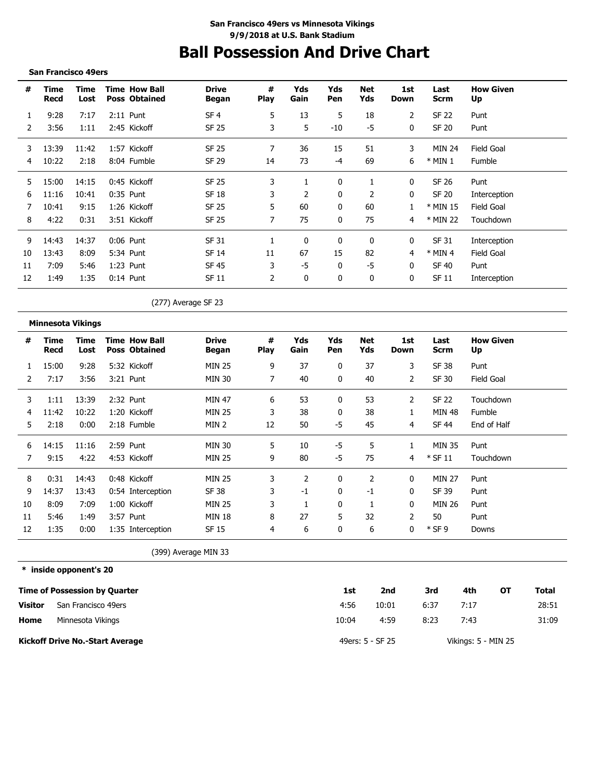# **Ball Possession And Drive Chart**

#### **San Francisco 49ers**

| #  | Time<br>Recd | Time<br>Lost | <b>Time How Ball</b><br><b>Poss Obtained</b> | <b>Drive</b><br>Began | #<br><b>Play</b> | Yds<br>Gain | Yds<br>Pen | Net<br>Yds     | 1st<br>Down  | Last<br><b>Scrm</b> | <b>How Given</b><br>Up |
|----|--------------|--------------|----------------------------------------------|-----------------------|------------------|-------------|------------|----------------|--------------|---------------------|------------------------|
|    | 9:28         | 7:17         | $2:11$ Punt                                  | SF <sub>4</sub>       | 5                | 13          | 5          | 18             | 2            | SF 22               | Punt                   |
|    | 3:56         | 1:11         | 2:45 Kickoff                                 | SF 25                 | 3                | 5           | -10        | -5             | $\mathbf{0}$ | <b>SF 20</b>        | Punt                   |
| 3  | 13:39        | 11:42        | 1:57 Kickoff                                 | SF 25                 | 7                | 36          | 15         | 51             | 3            | MIN 24              | Field Goal             |
| 4  | 10:22        | 2:18         | 8:04 Fumble                                  | SF 29                 | 14               | 73          | -4         | 69             | 6            | $*$ MIN 1           | Fumble                 |
| 5. | 15:00        | 14:15        | 0:45 Kickoff                                 | SF 25                 | 3                |             | 0          |                | 0            | SF 26               | Punt                   |
| 6  | 11:16        | 10:41        | $0:35$ Punt                                  | SF 18                 | 3                | 2           | 0          | $\overline{2}$ | 0            | SF 20               | Interception           |
|    | 10:41        | 9:15         | 1:26 Kickoff                                 | <b>SF 25</b>          | 5.               | 60          | 0          | 60             |              | * MIN 15            | Field Goal             |
| 8  | 4:22         | 0:31         | 3:51 Kickoff                                 | SF 25                 | 7                | 75          | 0          | 75             | 4            | * MIN 22            | Touchdown              |
| 9  | 14:43        | 14:37        | $0:06$ Punt                                  | SF 31                 |                  | 0           | 0          | 0              | 0            | SF 31               | Interception           |
| 10 | 13:43        | 8:09         | 5:34 Punt                                    | SF 14                 | 11               | 67          | 15         | 82             | 4            | $*$ MIN 4           | Field Goal             |
| 11 | 7:09         | 5:46         | $1:23$ Punt                                  | SF 45                 | 3                | -5          | 0          | -5             | $\mathbf{0}$ | SF 40               | Punt                   |
| 12 | 1:49         | 1:35         | $0:14$ Punt                                  | SF 11                 | 2                | 0           | 0          | 0              | 0            | SF 11               | Interception           |

(277) Average SF 23

#### **Minnesota Vikings**

| #  | Time<br>Recd | Time<br>Lost | Time How Ball<br><b>Poss Obtained</b> | <b>Drive</b><br>Began | #<br><b>Play</b> | Yds<br>Gain | Yds<br>Pen | Net<br>Yds | 1st<br>Down    | Last<br><b>Scrm</b> | <b>How Given</b><br>Up |
|----|--------------|--------------|---------------------------------------|-----------------------|------------------|-------------|------------|------------|----------------|---------------------|------------------------|
|    | 15:00        | 9:28         | 5:32 Kickoff                          | <b>MIN 25</b>         | 9                | 37          | 0          | 37         | 3              | <b>SF 38</b>        | Punt                   |
| 2  | 7:17         | 3:56         | 3:21 Punt                             | MIN 30                | 7                | 40          | 0          | 40         | 2              | SF 30               | Field Goal             |
| 3  | 1:11         | 13:39        | 2:32 Punt                             | MIN 47                | 6                | 53          | 0          | 53         | 2              | SF 22               | Touchdown              |
| 4  | 11:42        | 10:22        | 1:20 Kickoff                          | <b>MIN 25</b>         | 3                | 38          | 0          | 38         | 1              | <b>MIN 48</b>       | Fumble                 |
| 5  | 2:18         | 0:00         | 2:18 Fumble                           | MIN 2                 | 12               | 50          | -5         | 45         | 4              | <b>SF 44</b>        | End of Half            |
| 6  | 14:15        | 11:16        | 2:59 Punt                             | <b>MIN 30</b>         | 5                | 10          | -5         | 5          | 1              | <b>MIN 35</b>       | Punt                   |
| 7  | 9:15         | 4:22         | 4:53 Kickoff                          | <b>MIN 25</b>         | 9                | 80          | $-5$       | 75         | 4              | $*$ SF 11           | Touchdown              |
| 8  | 0:31         | 14:43        | 0:48 Kickoff                          | <b>MIN 25</b>         | 3                | 2           | 0          | 2          | 0              | <b>MIN 27</b>       | Punt                   |
| 9  | 14:37        | 13:43        | 0:54 Interception                     | SF 38                 | 3                | -1          | 0          | -1         | 0              | SF 39               | Punt                   |
| 10 | 8:09         | 7:09         | 1:00 Kickoff                          | <b>MIN 25</b>         | 3                |             | 0          | 1          | 0              | MIN 26              | Punt                   |
| 11 | 5:46         | 1:49         | 3:57 Punt                             | <b>MIN 18</b>         | 8                | 27          | 5          | 32         | $\overline{2}$ | 50                  | Punt                   |
| 12 | 1:35         | 0:00         | 1:35 Interception                     | SF 15                 | 4                | 6           | 0          | 6          | 0              | $*$ SF 9            | Downs                  |
|    |              |              |                                       | (399) Average MIN 33  |                  |             |            |            |                |                     |                        |

**\* inside opponent's 20**

|                | <b>Time of Possession by Quarter</b>   | 1st   | 2nd              | 3rd  | 4th                 | ΟТ | Total |
|----------------|----------------------------------------|-------|------------------|------|---------------------|----|-------|
| <b>Visitor</b> | San Francisco 49ers                    | 4:56  | 10:01            | 6:37 | 7:17                |    | 28:51 |
| Home           | Minnesota Vikings                      | 10:04 | 4:59             | 8:23 | 7:43                |    | 31:09 |
|                | <b>Kickoff Drive No.-Start Average</b> |       | 49ers: 5 - SF 25 |      | Vikings: 5 - MIN 25 |    |       |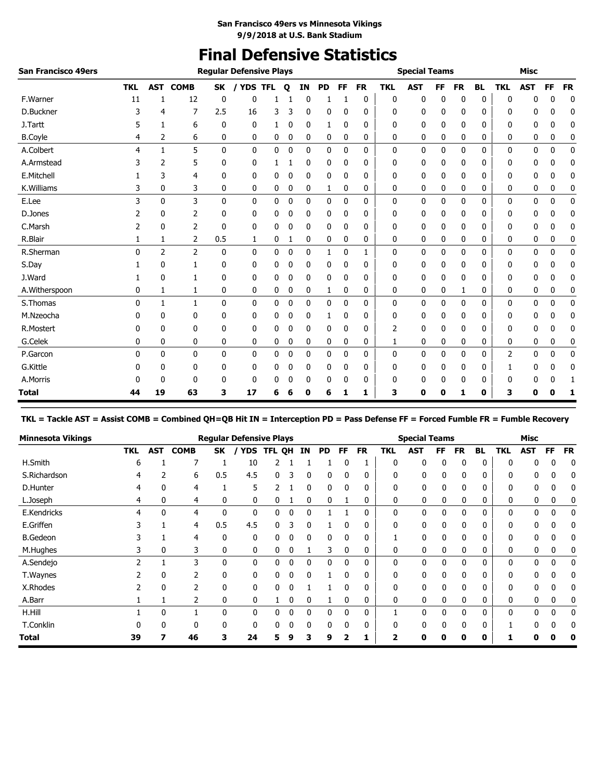## **Final Defensive Statistics**

| <b>San Francisco 49ers</b> |            |                |                |              | <b>Regular Defensive Plays</b> |   |   |    |           |              |           |            | <b>Special Teams</b> |           |           |           |            | <b>Misc</b> |             |             |
|----------------------------|------------|----------------|----------------|--------------|--------------------------------|---|---|----|-----------|--------------|-----------|------------|----------------------|-----------|-----------|-----------|------------|-------------|-------------|-------------|
|                            | <b>TKL</b> | <b>AST</b>     | <b>COMB</b>    | SK           | <b>YDS TFL</b>                 |   | Q | IN | <b>PD</b> | <b>FF</b>    | <b>FR</b> | <b>TKL</b> | <b>AST</b>           | <b>FF</b> | <b>FR</b> | <b>BL</b> | <b>TKL</b> | <b>AST</b>  | <b>FF</b>   | <b>FR</b>   |
| F.Warner                   | 11         | 1              | 12             | 0            | 0                              |   |   | 0  |           |              | 0         | 0          | 0                    | 0         | 0         | 0         | 0          | n           | ŋ           | $\mathbf 0$ |
| D.Buckner                  | 3          | 4              | 7              | 2.5          | 16                             | 3 | 3 | 0  | 0         | 0            | 0         | 0          | 0                    | 0         | 0         | 0         | 0          | 0           | 0           | 0           |
| J.Tartt                    |            | 1              | 6              | 0            | 0                              | 1 | 0 | 0  | 1         | 0            | 0         | 0          | 0                    | 0         | 0         | 0         | 0          | 0           | 0           | 0           |
| <b>B.Coyle</b>             | 4          | 2              | 6              | 0            | 0                              | 0 | 0 | 0  | 0         | 0            | 0         | 0          | 0                    | 0         | 0         | 0         | 0          | 0           | 0           | 0           |
| A.Colbert                  | 4          | $\mathbf{1}$   | 5              | $\mathbf{0}$ | 0                              | 0 | 0 | 0  | 0         | $\mathbf 0$  | 0         | 0          | 0                    | 0         | 0         | 0         | 0          | 0           | 0           | $\mathbf 0$ |
| A.Armstead                 |            | 2              | 5              | 0            | 0                              |   |   | 0  | 0         | 0            | 0         | 0          | 0                    | 0         | 0         | 0         | 0          | 0           | ŋ           | 0           |
| E.Mitchell                 |            | 3              | 4              | 0            | 0                              | 0 | 0 | 0  | 0         | 0            | 0         | 0          | 0                    | 0         | 0         | 0         | 0          | 0           | 0           | 0           |
| K.Williams                 | 3          | 0              | 3              | 0            | 0                              | 0 | 0 | 0  | 1         | 0            | 0         | 0          | 0                    | 0         | 0         | 0         | 0          | 0           | 0           | 0           |
| E.Lee                      | 3          | 0              | 3              | 0            | 0                              | 0 | 0 | 0  | 0         | 0            | 0         | 0          | 0                    | 0         | 0         | 0         | 0          | 0           | 0           | 0           |
| D.Jones                    |            | 0              | 2              | 0            | 0                              | 0 | 0 | 0  | 0         | 0            | 0         | 0          | 0                    | 0         | 0         | 0         | 0          | 0           | 0           | 0           |
| C.Marsh                    | 2          | 0              | $\overline{2}$ | $\mathbf{0}$ | 0                              | 0 | 0 | 0  | 0         | 0            | 0         | 0          | 0                    | 0         | 0         | 0         | 0          | 0           | 0           | 0           |
| R.Blair                    |            | 1              | 2              | 0.5          | 1                              | 0 | 1 | 0  | 0         | 0            | 0         | 0          | 0                    | 0         | 0         | 0         | 0          | 0           | 0           | 0           |
| R.Sherman                  | $\Omega$   | $\overline{2}$ | $\overline{2}$ | 0            | 0                              | 0 | 0 | 0  | 1         | 0            | 1         | 0          | 0                    | 0         | 0         | 0         | 0          | 0           | 0           | 0           |
| S.Day                      |            | 0              |                | 0            | 0                              | 0 | 0 | 0  | 0         | 0            | 0         | 0          | 0                    | 0         | 0         | 0         | 0          | 0           | 0           | 0           |
| J.Ward                     |            | 0              |                | 0            | 0                              | 0 | 0 | 0  | 0         | 0            | 0         | 0          | 0                    | 0         | 0         | 0         | 0          | 0           | 0           | 0           |
| A.Witherspoon              | 0          | 1              | 1              | 0            | 0                              | 0 | 0 | 0  | 1         | 0            | 0         | 0          | 0                    | 0         | 1         | 0         | 0          | 0           | 0           | 0           |
| S.Thomas                   | 0          | $\mathbf{1}$   | 1              | $\mathbf 0$  | 0                              | 0 | 0 | 0  | 0         | $\mathbf{0}$ | 0         | 0          | 0                    | 0         | 0         | 0         | 0          | 0           | $\mathbf 0$ | $\mathbf 0$ |
| M.Nzeocha                  |            | 0              | 0              | 0            | 0                              | 0 | 0 | 0  | 1         | 0            | 0         | 0          | 0                    | 0         | 0         | 0         | 0          | 0           | 0           | 0           |
| R.Mostert                  | 0          | 0              | 0              | 0            | 0                              | 0 | 0 | 0  | 0         | 0            | 0         | 2          | 0                    | 0         | 0         | 0         | 0          | 0           | 0           | 0           |
| G.Celek                    | 0          | 0              | 0              | 0            | 0                              | 0 | 0 | 0  | 0         | 0            | 0         | 1          | 0                    | 0         | 0         | 0         | 0          | 0           | 0           | 0           |
| P.Garcon                   | 0          | 0              | 0              | $\mathbf{0}$ | 0                              | 0 | 0 | 0  | 0         | $\mathbf{0}$ | 0         | 0          | 0                    | 0         | 0         | 0         | 2          | 0           | 0           | 0           |
| G.Kittle                   |            | 0              | 0              | 0            | 0                              | 0 | 0 | 0  | 0         | 0            | 0         | 0          | 0                    | 0         | 0         | 0         |            | 0           | 0           | 0           |
| A.Morris                   |            | 0              | 0              | 0            | 0                              | 0 |   | 0  | 0         | 0            | 0         | 0          | 0                    | 0         | 0         | 0         |            | 0           | 0           | -1          |
| Total                      | 44         | 19             | 63             | 3            | 17                             | 6 | 6 | 0  | 6         | 1            | 1         | 3          | 0                    | 0         | 1         | 0         | 3          | 0           | 0           | 1           |

**TKL = Tackle AST = Assist COMB = Combined QH=QB Hit IN = Interception PD = Pass Defense FF = Forced Fumble FR = Fumble Recovery**

| <b>Minnesota Vikings</b> |            |              |             |     | <b>Regular Defensive Plays</b> |               |   |          |    |              |              |              | <b>Special Teams</b> |          |              |              |              | <b>Misc</b> |    |           |
|--------------------------|------------|--------------|-------------|-----|--------------------------------|---------------|---|----------|----|--------------|--------------|--------------|----------------------|----------|--------------|--------------|--------------|-------------|----|-----------|
|                          | <b>TKL</b> | <b>AST</b>   | <b>COMB</b> | SK  | <b>YDS</b>                     | <b>TFL QH</b> |   | IN       | PD | FF           | <b>FR</b>    | <b>TKL</b>   | <b>AST</b>           | FF       | <b>FR</b>    | <b>BL</b>    | <b>TKL</b>   | <b>AST</b>  | FF | <b>FR</b> |
| H.Smith                  | 6          |              | ⇁           |     | 10                             |               |   |          |    |              |              | $\Omega$     | 0                    | $\Omega$ | 0            | 0            | $\Omega$     | 0           | ſ  | 0         |
| S.Richardson             | 4          |              | 6           | 0.5 | 4.5                            | 0             | 3 | 0        | 0  |              | 0            | 0            | 0                    |          | 0            | 0            | 0            | 0           | 0  | 0         |
| D.Hunter                 | 4          | 0            | 4           |     | 5                              |               |   | 0        | 0  | $\mathbf{0}$ | 0            | 0            | 0                    | 0        | 0            | $\mathbf{0}$ | 0            | 0           | 0  | 0         |
| L.Joseph                 | 4          | 0            | 4           | 0   | 0                              | 0             |   | 0        | 0  |              | 0            | 0            | 0                    |          | 0            | 0            | 0            | 0           | 0  | 0         |
| E.Kendricks              | 4          | <sup>0</sup> | 4           | 0   | $\mathbf{0}$                   | 0             | 0 | $\Omega$ |    |              | 0            | $\mathbf{0}$ | 0                    | 0        | 0            | $\Omega$     | $\mathbf{0}$ | 0           | 0  | 0         |
| E.Griffen                |            |              | 4           | 0.5 | 4.5                            | 0             | ς |          |    |              | 0            | $\Omega$     | 0                    |          | 0            | $\Omega$     | $\Omega$     | 0           | 0  | 0         |
| <b>B.Gedeon</b>          |            |              | 4           | 0   | 0                              | 0             |   | 0        | 0  |              | 0            |              | 0                    |          | 0            | 0            | $\mathbf{0}$ | 0           | 0  | 0         |
| M.Hughes                 | 3          | 0            | 3           | 0   | 0                              | 0             | 0 |          | 3  | $\mathbf 0$  | 0            | 0            | 0                    | 0        | 0            | $\mathbf{0}$ | 0            | 0           | 0  | 0         |
| A.Sendejo                | 2          |              | 3           | 0   | $\mathbf{0}$                   | 0             | 0 | 0        | 0  | $\Omega$     | $\mathbf{0}$ | $\mathbf{0}$ | 0                    | $\Omega$ | $\mathbf{0}$ | $\mathbf{0}$ | $\mathbf{0}$ | 0           | 0  | 0         |
| T.Waynes                 |            |              | 2           | 0   | 0                              | 0             | 0 | $\Omega$ |    | $\Omega$     | 0            | 0            | 0                    | 0        | 0            | $\Omega$     | $\mathbf{0}$ | 0           | 0  | 0         |
| X.Rhodes                 |            |              |             | 0   | 0                              | 0             | 0 |          |    |              | 0            | 0            | 0                    |          | 0            | 0            | $\mathbf{0}$ | 0           | 0  | 0         |
| A.Barr                   |            |              | 2           | 0   | 0                              |               | 0 | 0        |    |              | 0            | 0            | 0                    |          | 0            | 0            | 0            | 0           | 0  |           |
| H.Hill                   |            | $\mathbf{0}$ |             | 0   | 0                              | 0             | 0 | 0        | 0  | $\mathbf{0}$ | 0            |              | 0                    | 0        | 0            | $\mathbf{0}$ | 0            | 0           | 0  | 0         |
| T.Conklin                | U          |              | 0           | 0   | $\Omega$                       | 0             | 0 | $\Omega$ | 0  | $\Omega$     | 0            | $\Omega$     | $\Omega$             |          | 0            | $\Omega$     |              | 0           | U  | 0         |
| <b>Total</b>             | 39         |              | 46          | 3   | 24                             | 5             | 9 | 3        | 9  |              |              |              | U                    |          | Ω            | 0            |              |             |    |           |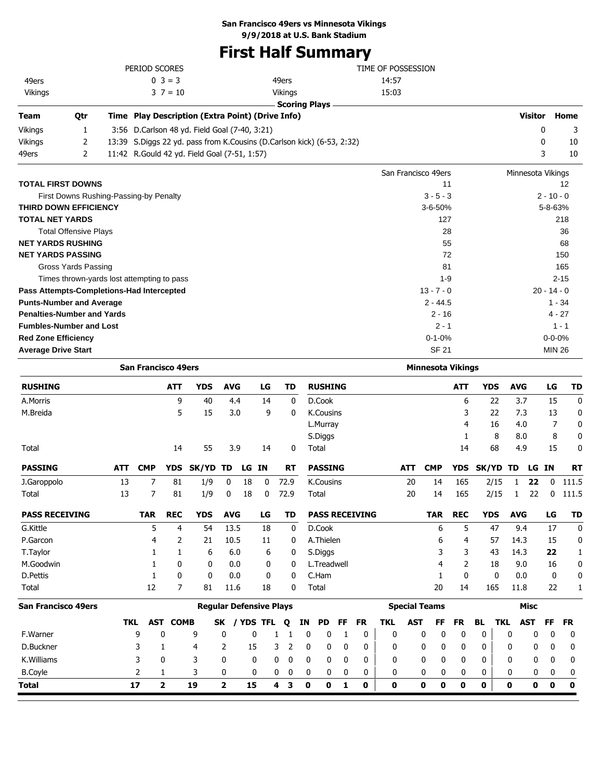## **San Francisco 49ers vs Minnesota Vikings**

**9/9/2018 at U.S. Bank Stadium**

## **First Half Summary**

|                                   |                              |              | PERIOD SCORES                                    |                                                                        | TIME OF POSSESSION  |                   |               |
|-----------------------------------|------------------------------|--------------|--------------------------------------------------|------------------------------------------------------------------------|---------------------|-------------------|---------------|
| 49ers                             |                              |              | $0 \ 3 = 3$                                      | 49ers                                                                  | 14:57               |                   |               |
| Vikings                           |                              |              | $3 \t7 = 10$                                     | Vikings                                                                | 15:03               |                   |               |
|                                   |                              |              |                                                  | <b>Scoring Plays</b>                                                   |                     |                   |               |
| <b>Team</b>                       | Qtr                          |              | Time Play Description (Extra Point) (Drive Info) |                                                                        |                     | <b>Visitor</b>    | Home          |
| Vikings                           |                              | 3:56         | D.Carlson 48 yd. Field Goal (7-40, 3:21)         |                                                                        |                     | 0                 | 3             |
| Vikings                           | 2                            |              |                                                  | 13:39 S.Diggs 22 yd. pass from K.Cousins (D.Carlson kick) (6-53, 2:32) |                     | 0                 | 10            |
| 49ers                             | 2                            |              | 11:42 R. Gould 42 yd. Field Goal (7-51, 1:57)    |                                                                        |                     | 3                 | 10            |
|                                   |                              |              |                                                  |                                                                        | San Francisco 49ers | Minnesota Vikings |               |
| <b>TOTAL FIRST DOWNS</b>          |                              |              |                                                  |                                                                        | 11                  |                   | 12            |
|                                   |                              |              | First Downs Rushing-Passing-by Penalty           |                                                                        | $3 - 5 - 3$         |                   | $2 - 10 - 0$  |
| <b>THIRD DOWN EFFICIENCY</b>      |                              |              |                                                  |                                                                        | $3 - 6 - 50%$       |                   | $5 - 8 - 63%$ |
| <b>TOTAL NET YARDS</b>            |                              |              |                                                  |                                                                        | 127                 |                   | 218           |
|                                   | <b>Total Offensive Plays</b> |              |                                                  |                                                                        | 28                  |                   | 36            |
| <b>NET YARDS RUSHING</b>          |                              |              |                                                  |                                                                        | 55                  |                   | 68            |
| <b>NET YARDS PASSING</b>          |                              |              |                                                  |                                                                        | 72                  |                   | 150           |
|                                   | Gross Yards Passing          |              |                                                  |                                                                        | 81                  |                   | 165           |
|                                   |                              |              | Times thrown-yards lost attempting to pass       |                                                                        | $1 - 9$             |                   | $2 - 15$      |
|                                   |                              |              | Pass Attempts-Completions-Had Intercepted        |                                                                        | $13 - 7 - 0$        |                   | $20 - 14 - 0$ |
| <b>Punts-Number and Average</b>   |                              |              |                                                  |                                                                        | $2 - 44.5$          |                   | $1 - 34$      |
| <b>Penalties-Number and Yards</b> |                              |              | $4 - 27$                                         |                                                                        |                     |                   |               |
| <b>Fumbles-Number and Lost</b>    |                              | $1 - 1$      |                                                  |                                                                        |                     |                   |               |
| <b>Red Zone Efficiency</b>        |                              | $0 - 1 - 0%$ |                                                  | $0 - 0 - 0%$                                                           |                     |                   |               |

**San Francisco 49ers Regular Defensive Plays Special Teams Misc San Francisco 49ers Minnesota Vikings Average Drive Start MIN 26** MIN 26 **RUSHING ATT YDS AVG LG TD RUSHING ATT YDS AVG LG TD** A.Morris 9 40 4.4 14 0 D.Cook 6 22 3.7 15 0 M.Breida 5 15 3.0 9 0 K.Cousins 3 22 7.3 13 0 L.Murray 4 16 4.0 7 0 S.Diggs 1 8 8.0 8 0 Total 14 55 3.9 14 0 Total 14 68 4.9 15 0 **PASSING ATT CMP YDS SK/YD TD LG IN RT PASSING ATT CMP YDS SK/YD TD LG IN RT** J.Garoppolo 13 7 81 1/9 0 18 0 72.9 K.Cousins 20 14 165 2/15 1 **22** 0 111.5 Total 13 7 81 1/9 0 18 0 72.9 Total 20 14 165 2/15 1 22 0 111.5 **PASS RECEIVING TAR REC YDS AVG LG TD PASS RECEIVING TAR REC YDS AVG LG TD** G.Kittle 5 4 54 13.5 18 0 D.Cook 6 5 47 9.4 17 0 P.Garcon 4 2 21 10.5 11 0 A.Thielen 6 4 57 14.3 15 0 T.Taylor 1 1 6 6.0 6 0 S.Diggs 3 3 43 14.3 **22** 1 M.Goodwin 1 0 0 0.0 0 0 L.Treadwell 4 2 18 9.0 16 0 D.Pettis 1 0 0 0.0 0 0 C.Ham 1 0 0 0.0 0 0 Total 12 7 81 11.6 18 0 Total 20 14 165 11.8 22 1 **TKL AST COMB SK / YDS TFL Q IN PD FF FR TKL AST FF FR BL TKL AST FF FR** F.Warner 9 0 9 0 0 1 1 0 0 1 0 0 0 0 0 0 0 0 0 0 D.Buckner 3 1 4 2 15 3 2 0 0 0 0 0 0 0 0 0 0 0 0 0 K.Williams 3 0 3 0 0 0 0 0 0 0 0 0 0 0 0 0 0 0 0 0 B.Coyle 2 1 3 0 0 0 0 0 0 0 0 0 0 0 0 0 0 0 0 0 **Total 17 2 19 2 15 4 3 0 0 1 0 0 0 0 0 0 0 0 0 0**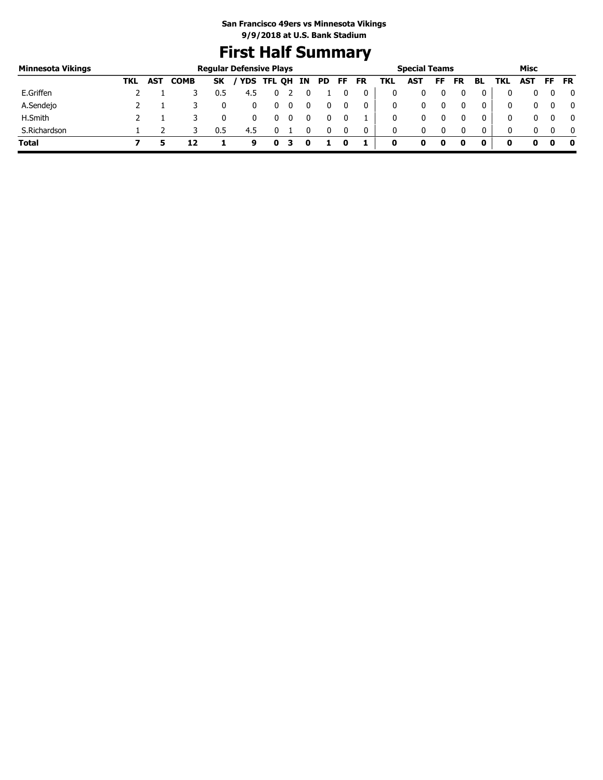## **First Half Summary**

| Minnesota Vikings |     |            |             |           | <b>Regular Defensive Plays</b> |        |   |    |     |    |           |     | <b>Special Teams</b> |    |           |              |     | Misc |     |              |
|-------------------|-----|------------|-------------|-----------|--------------------------------|--------|---|----|-----|----|-----------|-----|----------------------|----|-----------|--------------|-----|------|-----|--------------|
|                   | TKL | <b>AST</b> | <b>COMB</b> | <b>SK</b> | <b>YDS</b>                     | TFL QH |   | IN | PD. | FF | <b>FR</b> | TKL | AST                  | FF | <b>FR</b> | BL           | TKL | AST  | FF. | <b>FR</b>    |
| E.Griffen         |     |            |             | 0.5       | 4.5                            |        |   |    |     |    |           |     | 0                    |    |           | 0            |     |      |     | 0            |
| A.Sendejo         |     |            |             |           |                                | U      | Ü |    |     |    | 0         |     | 0                    |    |           | 0            | 0   |      |     | 0            |
| H.Smith           |     |            |             |           |                                |        |   |    |     |    |           |     |                      |    |           | 0            | 0   |      |     | $\mathbf{0}$ |
| S.Richardson      |     |            |             | 0.5       | 4.5                            |        |   |    |     |    | 0         | 0   | 0                    |    |           | $\mathbf{0}$ | 0   |      |     | $\mathbf{0}$ |
| <b>Total</b>      |     |            | 12          |           | 9                              |        |   |    |     |    |           | 0   |                      | 0  |           | 0            | o   |      |     | - 0          |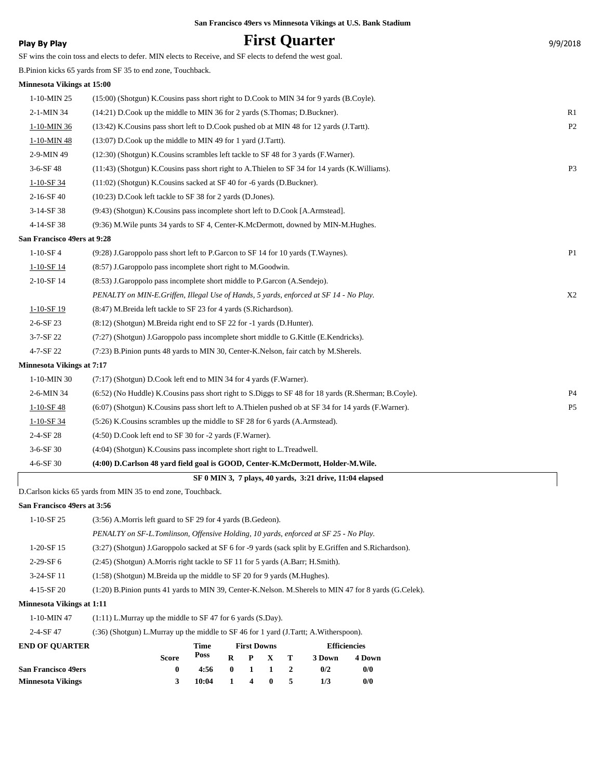| Play By Play                     | <b>First Quarter</b>                                                                                     | 9/9/2018       |
|----------------------------------|----------------------------------------------------------------------------------------------------------|----------------|
|                                  | SF wins the coin toss and elects to defer. MIN elects to Receive, and SF elects to defend the west goal. |                |
|                                  | B.Pinion kicks 65 yards from SF 35 to end zone, Touchback.                                               |                |
| Minnesota Vikings at 15:00       |                                                                                                          |                |
| 1-10-MIN 25                      | (15:00) (Shotgun) K.Cousins pass short right to D.Cook to MIN 34 for 9 yards (B.Coyle).                  |                |
| 2-1-MIN 34                       | (14:21) D.Cook up the middle to MIN 36 for 2 yards (S.Thomas; D.Buckner).                                | R1             |
| $1-10-MIN36$                     | (13:42) K. Cousins pass short left to D. Cook pushed ob at MIN 48 for 12 yards (J. Tartt).               | P <sub>2</sub> |
| 1-10-MIN 48                      | (13:07) D.Cook up the middle to MIN 49 for 1 yard (J.Tartt).                                             |                |
| 2-9-MIN 49                       | (12:30) (Shotgun) K.Cousins scrambles left tackle to SF 48 for 3 yards (F.Warner).                       |                |
| $3-6-SF48$                       | (11:43) (Shotgun) K.Cousins pass short right to A.Thielen to SF 34 for 14 yards (K.Williams).            | P <sub>3</sub> |
| 1-10-SF 34                       | (11:02) (Shotgun) K.Cousins sacked at SF 40 for -6 yards (D.Buckner).                                    |                |
| 2-16-SF 40                       | (10:23) D.Cook left tackle to SF 38 for 2 yards (D.Jones).                                               |                |
| $3-14-SF38$                      | (9:43) (Shotgun) K.Cousins pass incomplete short left to D.Cook [A.Armstead].                            |                |
| 4-14-SF 38                       | (9:36) M. Wile punts 34 yards to SF 4, Center-K. McDermott, downed by MIN-M. Hughes.                     |                |
| San Francisco 49ers at 9:28      |                                                                                                          |                |
| $1 - 10 - SF4$                   | (9:28) J.Garoppolo pass short left to P.Garcon to SF 14 for 10 yards (T.Waynes).                         | P <sub>1</sub> |
| $1-10-SF14$                      | (8:57) J.Garoppolo pass incomplete short right to M.Goodwin.                                             |                |
| 2-10-SF 14                       | (8:53) J.Garoppolo pass incomplete short middle to P.Garcon (A.Sendejo).                                 |                |
|                                  | PENALTY on MIN-E.Griffen, Illegal Use of Hands, 5 yards, enforced at SF 14 - No Play.                    | X2             |
| 1-10-SF 19                       | (8:47) M.Breida left tackle to SF 23 for 4 yards (S.Richardson).                                         |                |
| $2 - 6 - SF$ 23                  | (8:12) (Shotgun) M.Breida right end to SF 22 for -1 yards (D.Hunter).                                    |                |
| 3-7-SF 22                        | (7:27) (Shotgun) J.Garoppolo pass incomplete short middle to G.Kittle (E.Kendricks).                     |                |
| 4-7-SF 22                        | (7:23) B.Pinion punts 48 yards to MIN 30, Center-K.Nelson, fair catch by M.Sherels.                      |                |
| <b>Minnesota Vikings at 7:17</b> |                                                                                                          |                |
| 1-10-MIN 30                      | (7:17) (Shotgun) D.Cook left end to MIN 34 for 4 yards (F.Warner).                                       |                |
| 2-6-MIN 34                       | (6:52) (No Huddle) K.Cousins pass short right to S.Diggs to SF 48 for 18 yards (R.Sherman; B.Coyle).     | P4             |
| $1-10-SF48$                      | (6:07) (Shotgun) K.Cousins pass short left to A.Thielen pushed ob at SF 34 for 14 yards (F.Warner).      | P <sub>5</sub> |
| $1-10-SF34$                      | (5:26) K.Cousins scrambles up the middle to SF 28 for 6 yards (A.Armstead).                              |                |
| 2-4-SF 28                        | (4:50) D.Cook left end to SF 30 for -2 yards (F.Warner).                                                 |                |
| 3-6-SF 30                        | (4:04) (Shotgun) K. Cousins pass incomplete short right to L. Treadwell.                                 |                |
| 4-6-SF 30                        | (4:00) D.Carlson 48 yard field goal is GOOD, Center-K.McDermott, Holder-M.Wile.                          |                |

 **SF 0 MIN 3, 7 plays, 40 yards, 3:21 drive, 11:04 elapsed**

D.Carlson kicks 65 yards from MIN 35 to end zone, Touchback.

#### **San Francisco 49ers at 3:56**

| $1-10-SF25$                | $(3:56)$ A.Morris left guard to SF 29 for 4 yards (B.Gedeon).                                         |                                                                                |              |                    |              |                |        |                     |  |  |  |  |  |  |
|----------------------------|-------------------------------------------------------------------------------------------------------|--------------------------------------------------------------------------------|--------------|--------------------|--------------|----------------|--------|---------------------|--|--|--|--|--|--|
|                            | PENALTY on SF-L.Tomlinson, Offensive Holding, 10 yards, enforced at SF 25 - No Play.                  |                                                                                |              |                    |              |                |        |                     |  |  |  |  |  |  |
| $1-20-SF$ 15               | (3:27) (Shotgun) J.Garoppolo sacked at SF 6 for -9 yards (sack split by E.Griffen and S.Richardson).  |                                                                                |              |                    |              |                |        |                     |  |  |  |  |  |  |
| $2-29-SF6$                 |                                                                                                       | (2.45) (Shotgun) A.Morris right tackle to SF 11 for 5 yards (A.Barr; H.Smith). |              |                    |              |                |        |                     |  |  |  |  |  |  |
| $3-24-SF11$                |                                                                                                       | $(1:58)$ (Shotgun) M.Breida up the middle to SF 20 for 9 yards (M.Hughes).     |              |                    |              |                |        |                     |  |  |  |  |  |  |
| $4-15-SF20$                | (1:20) B.Pinion punts 41 yards to MIN 39, Center-K.Nelson. M.Sherels to MIN 47 for 8 yards (G.Celek). |                                                                                |              |                    |              |                |        |                     |  |  |  |  |  |  |
| Minnesota Vikings at 1:11  |                                                                                                       |                                                                                |              |                    |              |                |        |                     |  |  |  |  |  |  |
| $1-10-MIN$ 47              | $(1:11)$ L.Murray up the middle to SF 47 for 6 yards (S.Day).                                         |                                                                                |              |                    |              |                |        |                     |  |  |  |  |  |  |
| $2 - 4 - SF$ 47            | $(36)$ (Shotgun) L.Murray up the middle to SF 46 for 1 yard (J.Tartt; A.Witherspoon).                 |                                                                                |              |                    |              |                |        |                     |  |  |  |  |  |  |
| <b>END OF OUARTER</b>      |                                                                                                       | Time                                                                           |              | <b>First Downs</b> |              |                |        | <b>Efficiencies</b> |  |  |  |  |  |  |
|                            | <b>Score</b>                                                                                          | <b>Poss</b>                                                                    | $\mathbf{R}$ | P                  | $\mathbf{X}$ | т              | 3 Down | 4 Down              |  |  |  |  |  |  |
| <b>San Francisco 49ers</b> | $\bf{0}$                                                                                              | 4:56                                                                           | $\bf{0}$     | 1                  | $\mathbf{1}$ | $\overline{2}$ | 0/2    | 0/0                 |  |  |  |  |  |  |
| <b>Minnesota Vikings</b>   | 3                                                                                                     | 10:04                                                                          | $\mathbf{1}$ | 4                  | $\bf{0}$     | 5              | 1/3    | 0/0                 |  |  |  |  |  |  |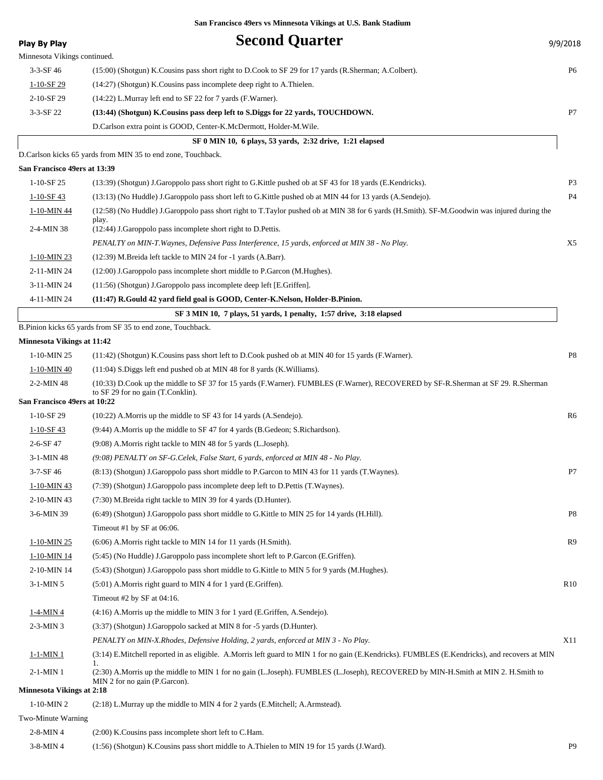| <b>Play By Play</b>               | <b>Second Quarter</b>                                                                                                                                                 | 9/9/2018       |
|-----------------------------------|-----------------------------------------------------------------------------------------------------------------------------------------------------------------------|----------------|
| Minnesota Vikings continued.      |                                                                                                                                                                       |                |
| $3-3-SF$ 46                       | (15:00) (Shotgun) K.Cousins pass short right to D.Cook to SF 29 for 17 yards (R.Sherman; A.Colbert).                                                                  | P <sub>6</sub> |
| $1-10-SF$ 29                      | (14:27) (Shotgun) K.Cousins pass incomplete deep right to A.Thielen.                                                                                                  |                |
| 2-10-SF 29                        | (14:22) L.Murray left end to SF 22 for 7 yards (F.Warner).                                                                                                            |                |
| $3-3-SF$ 22                       | (13:44) (Shotgun) K.Cousins pass deep left to S.Diggs for 22 yards, TOUCHDOWN.                                                                                        | P7             |
|                                   | D.Carlson extra point is GOOD, Center-K.McDermott, Holder-M.Wile.                                                                                                     |                |
|                                   | SF 0 MIN 10, 6 plays, 53 yards, 2:32 drive, 1:21 elapsed                                                                                                              |                |
|                                   | D.Carlson kicks 65 yards from MIN 35 to end zone, Touchback.                                                                                                          |                |
| San Francisco 49ers at 13:39      |                                                                                                                                                                       |                |
| $1-10-SF$ 25                      | (13:39) (Shotgun) J.Garoppolo pass short right to G.Kittle pushed ob at SF 43 for 18 yards (E.Kendricks).                                                             | P <sub>3</sub> |
| $1 - 10 - SF$ 43                  | (13:13) (No Huddle) J.Garoppolo pass short left to G.Kittle pushed ob at MIN 44 for 13 yards (A.Sendejo).                                                             | P <sub>4</sub> |
| 1-10-MIN 44                       | (12:58) (No Huddle) J.Garoppolo pass short right to T.Taylor pushed ob at MIN 38 for 6 yards (H.Smith). SF-M.Goodwin was injured during the<br>play.                  |                |
| 2-4-MIN 38                        | (12:44) J. Garoppolo pass incomplete short right to D. Pettis.                                                                                                        |                |
|                                   | PENALTY on MIN-T. Waynes, Defensive Pass Interference, 15 yards, enforced at MIN 38 - No Play.                                                                        | X5             |
| 1-10-MIN 23                       | (12:39) M.Breida left tackle to MIN 24 for -1 yards (A.Barr).                                                                                                         |                |
| 2-11-MIN 24                       | (12:00) J.Garoppolo pass incomplete short middle to P.Garcon (M.Hughes).                                                                                              |                |
| 3-11-MIN 24                       | (11:56) (Shotgun) J.Garoppolo pass incomplete deep left [E.Griffen].                                                                                                  |                |
| 4-11-MIN 24                       | (11:47) R.Gould 42 yard field goal is GOOD, Center-K.Nelson, Holder-B.Pinion.                                                                                         |                |
|                                   | SF 3 MIN 10, 7 plays, 51 yards, 1 penalty, 1:57 drive, 3:18 elapsed                                                                                                   |                |
|                                   | B.Pinion kicks 65 yards from SF 35 to end zone, Touchback.                                                                                                            |                |
| <b>Minnesota Vikings at 11:42</b> |                                                                                                                                                                       |                |
| 1-10-MIN 25                       | (11:42) (Shotgun) K.Cousins pass short left to D.Cook pushed ob at MIN 40 for 15 yards (F.Warner).                                                                    | P8             |
| 1-10-MIN 40                       | (11:04) S. Diggs left end pushed ob at MIN 48 for 8 yards (K. Williams).                                                                                              |                |
| $2-2-MIN$ 48                      | (10:33) D.Cook up the middle to SF 37 for 15 yards (F.Warner). FUMBLES (F.Warner), RECOVERED by SF-R.Sherman at SF 29. R.Sherman<br>to SF 29 for no gain (T.Conklin). |                |
| San Francisco 49ers at 10:22      |                                                                                                                                                                       |                |
| $1-10-SF29$                       | $(10:22)$ A.Morris up the middle to SF 43 for 14 yards $(A.Sende$ jo).                                                                                                | R6             |
| $1-10-SF$ 43                      | (9:44) A.Morris up the middle to SF 47 for 4 yards (B.Gedeon; S.Richardson).                                                                                          |                |
| $2 - 6 - SF 47$                   | (9:08) A. Morris right tackle to MIN 48 for 5 yards (L. Joseph).                                                                                                      |                |
| 3-1-MIN 48                        | (9:08) PENALTY on SF-G. Celek, False Start, 6 yards, enforced at MIN 48 - No Play.                                                                                    |                |
| 3-7-SF 46                         | (8:13) (Shotgun) J.Garoppolo pass short middle to P.Garcon to MIN 43 for 11 yards (T.Waynes).                                                                         | P7             |
| $1-10-MIN$ 43                     | (7:39) (Shotgun) J.Garoppolo pass incomplete deep left to D.Pettis (T.Waynes).                                                                                        |                |
| 2-10-MIN 43                       | (7:30) M.Breida right tackle to MIN 39 for 4 yards (D.Hunter).                                                                                                        |                |
| 3-6-MIN 39                        | (6:49) (Shotgun) J.Garoppolo pass short middle to G.Kittle to MIN 25 for 14 yards (H.Hill).                                                                           | P8             |
|                                   | Timeout #1 by SF at 06:06.                                                                                                                                            |                |
| 1-10-MIN 25                       | (6:06) A. Morris right tackle to MIN 14 for 11 yards (H. Smith).                                                                                                      | R9             |
| $1-10-MIN$ 14                     | (5:45) (No Huddle) J.Garoppolo pass incomplete short left to P.Garcon (E.Griffen).                                                                                    |                |
| 2-10-MIN 14                       | (5:43) (Shotgun) J.Garoppolo pass short middle to G.Kittle to MIN 5 for 9 yards (M.Hughes).                                                                           |                |
| $3-1-MIN$ 5                       | $(5:01)$ A.Morris right guard to MIN 4 for 1 yard (E.Griffen).                                                                                                        | R10            |
|                                   | Timeout #2 by SF at 04:16.                                                                                                                                            |                |
| $1-4-MIN4$                        | $(4:16)$ A.Morris up the middle to MIN 3 for 1 yard (E.Griffen, A.Sendejo).                                                                                           |                |
| $2-3-MIN3$                        | (3:37) (Shotgun) J.Garoppolo sacked at MIN 8 for -5 yards (D.Hunter).                                                                                                 |                |
|                                   | PENALTY on MIN-X.Rhodes, Defensive Holding, 2 yards, enforced at MIN 3 - No Play.                                                                                     | X11            |
| $1-1-MIN$ 1                       | (3:14) E.Mitchell reported in as eligible. A.Morris left guard to MIN 1 for no gain (E.Kendricks). FUMBLES (E.Kendricks), and recovers at MIN<br>1.                   |                |
| $2-1-MIN$ 1                       | (2:30) A.Morris up the middle to MIN 1 for no gain (L.Joseph). FUMBLES (L.Joseph), RECOVERED by MIN-H.Smith at MIN 2. H.Smith to<br>MIN 2 for no gain (P.Garcon).     |                |
| <b>Minnesota Vikings at 2:18</b>  |                                                                                                                                                                       |                |
| $1-10-MIN2$                       | $(2.18)$ L.Murray up the middle to MIN 4 for 2 yards (E.Mitchell; A.Armstead).                                                                                        |                |
| Two-Minute Warning                |                                                                                                                                                                       |                |
| $2-8-MIN4$                        | (2:00) K. Cousins pass incomplete short left to C. Ham.                                                                                                               |                |
| 3-8-MIN 4                         | (1:56) (Shotgun) K.Cousins pass short middle to A.Thielen to MIN 19 for 15 yards (J.Ward).                                                                            | P <sub>9</sub> |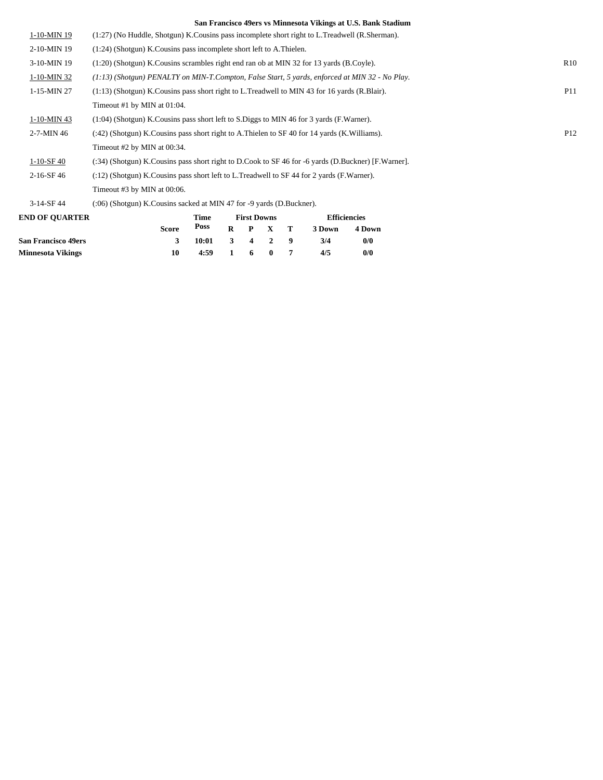|                  | San Francisco 49618 vs imminesõia Vikings at O.S. Dank Staulum                                     |                 |
|------------------|----------------------------------------------------------------------------------------------------|-----------------|
| 1-10-MIN 19      | (1:27) (No Huddle, Shotgun) K.Cousins pass incomplete short right to L.Treadwell (R.Sherman).      |                 |
| 2-10-MIN 19      | $(1:24)$ (Shotgun) K. Cousins pass incomplete short left to A. Thielen.                            |                 |
| 3-10-MIN 19      | $(1:20)$ (Shotgun) K. Cousins scrambles right end ran ob at MIN 32 for 13 yards (B. Coyle).        | R <sub>10</sub> |
| 1-10-MIN 32      | $(1.13)$ (Shotgun) PENALTY on MIN-T.Compton, False Start, 5 yards, enforced at MIN 32 - No Play.   |                 |
| 1-15-MIN 27      | $(1:13)$ (Shotgun) K. Cousins pass short right to L. Treadwell to MIN 43 for 16 yards (R. Blair).  | <b>P11</b>      |
|                  | Timeout #1 by MIN at 01:04.                                                                        |                 |
| 1-10-MIN 43      | $(1:04)$ (Shotgun) K. Cousins pass short left to S. Diggs to MIN 46 for 3 yards (F. Warner).       |                 |
| $2 - 7 - MIN 46$ | $(242)$ (Shotgun) K. Cousins pass short right to A. Thielen to SF 40 for 14 yards (K. Williams).   | P <sub>12</sub> |
|                  | Timeout #2 by MIN at 00:34.                                                                        |                 |
| $1-10-SF40$      | (:34) (Shotgun) K.Cousins pass short right to D.Cook to SF 46 for -6 yards (D.Buckner) [F.Warner]. |                 |
| $2-16-SF46$      | $(212)$ (Shotgun) K. Cousins pass short left to L. Treadwell to SF 44 for 2 yards (F. Warner).     |                 |
|                  | Timeout #3 by MIN at 00:06.                                                                        |                 |
| $3-14-SF44$      | $(0.06)$ (Shotgun) K. Cousins sacked at MIN 47 for -9 yards (D. Buckner).                          |                 |

| <b>END OF OUARTER</b>      | Time<br><b>First Downs</b> |                                         |  | <b>Efficiencies</b> |         |        |        |
|----------------------------|----------------------------|-----------------------------------------|--|---------------------|---------|--------|--------|
|                            | Score                      | Poss                                    |  |                     | R P X T | 3 Down | 4 Down |
| <b>San Francisco 49ers</b> | 3                          | $10:01 \quad 3 \quad 4 \quad 2 \quad 9$ |  |                     |         | 3/4    | 0/0    |
| <b>Minnesota Vikings</b>   |                            | 4:59                                    |  | 1 6 0 7             |         | 4/5    | 0/0    |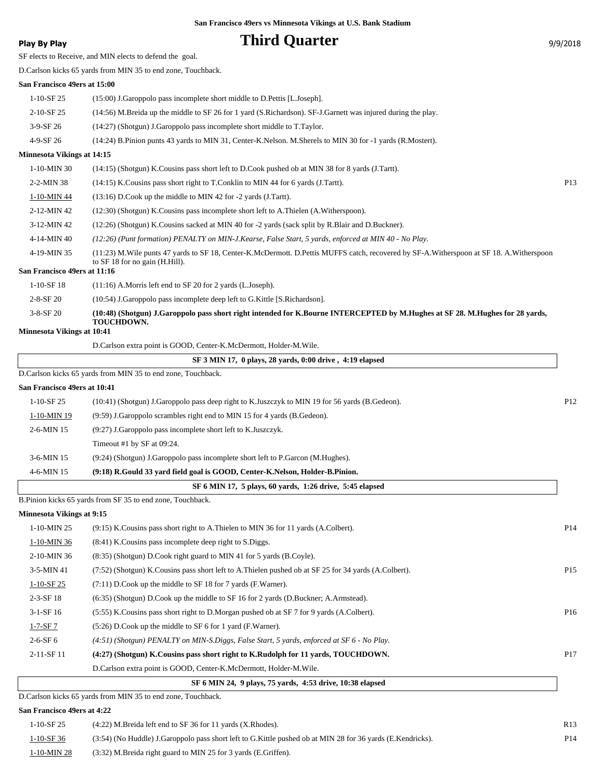## **Play By Play Play Play Play By Play Play By Play Play By Play Play By Play Play Play Play Play Play Play Play Play Play Play Play Play Play Play Play Play Play Play Play**

SF elects to Receive, and MIN elects to defend the goal.

D.Carlson kicks 65 yards from MIN 35 to end zone, Touchback.

#### **San Francisco 49ers at 15:00**

| 1-10-SF 25 | $(15:00)$ J. Garoppolo pass incomplete short middle to D. Pettis [L. Joseph].                                  |
|------------|----------------------------------------------------------------------------------------------------------------|
| 2-10-SF 25 | $(14:56)$ M.Breida up the middle to SF 26 for 1 yard (S.Richardson). SF-J.Garnett was injured during the play. |
| $3-9-SF26$ | (14:27) (Shotgun) J.Garoppolo pass incomplete short middle to T.Taylor.                                        |
|            |                                                                                                                |

#### 4-9-SF 26 (14:24) B.Pinion punts 43 yards to MIN 31, Center-K.Nelson. M.Sherels to MIN 30 for -1 yards (R.Mostert).

#### **Minnesota Vikings at 14:15**

| $1-10-MIN30$                 | $(14:15)$ (Shotgun) K.Cousins pass short left to D.Cook pushed ob at MIN 38 for 8 yards (J.Tartt).                                                                             |                 |
|------------------------------|--------------------------------------------------------------------------------------------------------------------------------------------------------------------------------|-----------------|
| $2 - 2 - MIN 38$             | $(14:15)$ K. Cousins pass short right to T. Conklin to MIN 44 for 6 yards $(J.Tartt)$ .                                                                                        | P <sub>13</sub> |
| 1-10-MIN 44                  | $(13:16)$ D.Cook up the middle to MIN 42 for $-2$ yards (J.Tartt).                                                                                                             |                 |
| $2-12-MIN$ 42                | (12:30) (Shotgun) K.Cousins pass incomplete short left to A.Thielen (A.Witherspoon).                                                                                           |                 |
| $3-12-MIN$ 42                | (12:26) (Shotgun) K.Cousins sacked at MIN 40 for -2 yards (sack split by R.Blair and D.Buckner).                                                                               |                 |
| 4-14-MIN 40                  | (12:26) (Punt formation) PENALTY on MIN-J.Kearse, False Start, 5 yards, enforced at MIN 40 - No Play.                                                                          |                 |
| 4-19-MIN 35                  | (11:23) M. Wile punts 47 yards to SF 18, Center-K. McDermott. D. Pettis MUFFS catch, recovered by SF-A. Witherspoon at SF 18. A. Witherspoon<br>to SF 18 for no gain (H.Hill). |                 |
| San Francisco 49ers at 11:16 |                                                                                                                                                                                |                 |
| $1-10-SF$ 18                 | $(11:16)$ A.Morris left end to SF 20 for 2 yards $(L.Joseph)$ .                                                                                                                |                 |
| $2 - 8 - SF 20$              | (10:54) J.Garoppolo pass incomplete deep left to G.Kittle [S.Richardson].                                                                                                      |                 |

#### **(10:48) (Shotgun) J.Garoppolo pass short right intended for K.Bourne INTERCEPTED by M.Hughes at SF 28. M.Hughes for 28 yards, TOUCHDOWN.** 3-8-SF 20

#### **Minnesota Vikings at 10:41**

D.Carlson extra point is GOOD, Center-K.McDermott, Holder-M.Wile.

|                              | SF 3 MIN 17, 0 plays, 28 yards, 0:00 drive, 4:19 elapsed                                       |                 |
|------------------------------|------------------------------------------------------------------------------------------------|-----------------|
|                              | D. Carlson kicks 65 yards from MIN 35 to end zone, Touchback.                                  |                 |
| San Francisco 49ers at 10:41 |                                                                                                |                 |
| $1-10-SF25$                  | (10:41) (Shotgun) J.Garoppolo pass deep right to K.Juszczyk to MIN 19 for 56 yards (B.Gedeon). | P <sub>12</sub> |
| $1-10-MIN$ 19                | $(9:59)$ J. Garoppolo scrambles right end to MIN 15 for 4 yards (B. Gedeon).                   |                 |
| $2-6$ -MIN 15                | $(9:27)$ J.Garoppolo pass incomplete short left to K.Juszczyk.                                 |                 |
|                              | Timeout #1 by SF at $09:24$ .                                                                  |                 |
| $3-6$ -MIN 15                | (9:24) (Shotgun) J.Garoppolo pass incomplete short left to P.Garcon (M.Hughes).                |                 |
| $4-6$ -MIN 15                | (9:18) R.Gould 33 yard field goal is GOOD, Center-K.Nelson, Holder-B.Pinion.                   |                 |
|                              |                                                                                                |                 |

 **SF 6 MIN 17, 5 plays, 60 yards, 1:26 drive, 5:45 elapsed**

B.Pinion kicks 65 yards from SF 35 to end zone, Touchback.

#### **Minnesota Vikings at 9:15**

| $1-10-MIN$ 25 | $(9.15)$ K. Cousins pass short right to A. Thielen to MIN 36 for 11 yards (A. Colbert).              | P <sub>14</sub> |
|---------------|------------------------------------------------------------------------------------------------------|-----------------|
| $1-10-MIN36$  | $(8:41)$ K. Cousins pass incomplete deep right to S. Diggs.                                          |                 |
| 2-10-MIN 36   | (8:35) (Shotgun) D.Cook right guard to MIN 41 for 5 yards (B.Coyle).                                 |                 |
| $3-5-MIN$ 41  | (7:52) (Shotgun) K.Cousins pass short left to A.Thielen pushed ob at SF 25 for 34 yards (A.Colbert). | P <sub>15</sub> |
| $1-10-SF25$   | $(7:11)$ D.Cook up the middle to SF 18 for 7 yards (F.Warner).                                       |                 |
| $2-3-SF$ 18   | $(6:35)$ (Shotgun) D.Cook up the middle to SF 16 for 2 yards (D.Buckner; A.Armstead).                |                 |
| $3-1-SF16$    | (5.55) K.Cousins pass short right to D.Morgan pushed ob at SF 7 for 9 yards (A.Colbert).             | P <sub>16</sub> |
| $1 - 7 - SF7$ | $(5:26)$ D.Cook up the middle to SF 6 for 1 yard (F.Warner).                                         |                 |
| $2-6-SF6$     | $(4:51)$ (Shotgun) PENALTY on MIN-S.Diggs, False Start, 5 yards, enforced at SF 6 - No Play.         |                 |
| 2-11-SF 11    | (4:27) (Shotgun) K.Cousins pass short right to K.Rudolph for 11 yards, TOUCHDOWN.                    | P <sub>17</sub> |
|               | D. Carlson extra point is GOOD, Center-K. McDermott, Holder-M. Wile.                                 |                 |
|               |                                                                                                      |                 |

 **SF 6 MIN 24, 9 plays, 75 yards, 4:53 drive, 10:38 elapsed**

D.Carlson kicks 65 yards from MIN 35 to end zone, Touchback.

#### **San Francisco 49ers at 4:22**

| 1-10-SF 25  | $(4:22)$ M.Breida left end to SF 36 for 11 yards $(X.R$ hodes).                                            | R13             |
|-------------|------------------------------------------------------------------------------------------------------------|-----------------|
| 1-10-SF 36  | (3:54) (No Huddle) J.Garoppolo pass short left to G.Kittle pushed ob at MIN 28 for 36 yards (E.Kendricks). | P <sub>14</sub> |
| 1-10-MIN 28 | (3:32) M.Breida right guard to MIN 25 for 3 yards (E.Griffen).                                             |                 |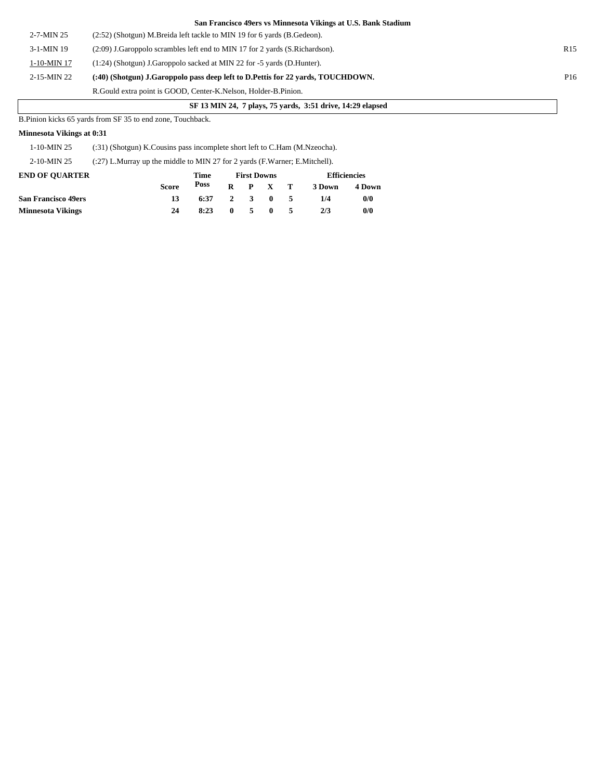|                  | San Francisco 49ers vs Minnesota Vikings at U.S. Bank Stadium                   |                 |
|------------------|---------------------------------------------------------------------------------|-----------------|
| $2 - 7 - MIN$ 25 | $(2:52)$ (Shotgun) M.Breida left tackle to MIN 19 for 6 yards (B.Gedeon).       |                 |
| $3-1-MIN$ 19     | $(2.09)$ J. Garoppolo scrambles left end to MIN 17 for 2 yards (S. Richardson). | R <sub>15</sub> |
| 1-10-MIN 17      | (1:24) (Shotgun) J.Garoppolo sacked at MIN 22 for -5 yards (D.Hunter).          |                 |
| 2-15-MIN 22      | (:40) (Shotgun) J.Garoppolo pass deep left to D.Pettis for 22 yards, TOUCHDOWN. | P <sub>16</sub> |
|                  | R. Gould extra point is GOOD, Center-K. Nelson, Holder-B. Pinion.               |                 |

### **SF 13 MIN 24, 7 plays, 75 yards, 3:51 drive, 14:29 elapsed**

B.Pinion kicks 65 yards from SF 35 to end zone, Touchback.

### **Minnesota Vikings at 0:31**

1-10-MIN 25 (:31) (Shotgun) K.Cousins pass incomplete short left to C.Ham (M.Nzeocha).

2-10-MIN 25 (:27) L.Murray up the middle to MIN 27 for 2 yards (F.Warner; E.Mitchell).

| <b>END OF OUARTER</b>      |              | Time | <b>First Downs</b> |            |                 |     | <b>Efficiencies</b> |        |
|----------------------------|--------------|------|--------------------|------------|-----------------|-----|---------------------|--------|
|                            | <b>Score</b> | Poss |                    |            | $R$ $P$ $X$ $T$ |     | 3 Down              | 4 Down |
| <b>San Francisco 49ers</b> | 13           | 6:37 | 2 3 0 5            |            |                 |     | 1/4                 | 0/0    |
| <b>Minnesota Vikings</b>   | 24           | 8:23 | $\mathbf{0}$       | $\sqrt{5}$ | $\mathbf{0}$    | - 5 | 2/3                 | 0/0    |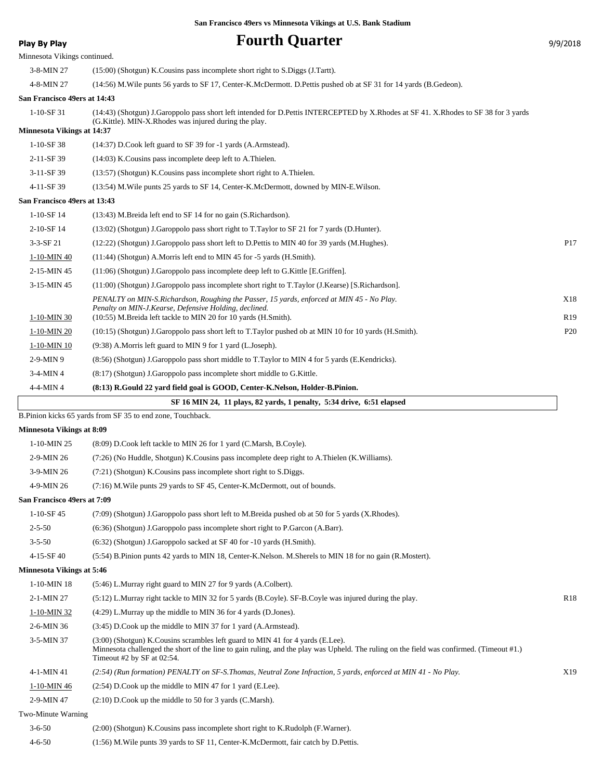## **Play By Play Play Play Play Play Play Play Play Play Play Play Play Play Play Play Play Play Play Play Play Play Play Play Play Play Play Play Play Play Play Pla**

|                                   | Minnesota Vikings continued.                                                                                                                                                                                                                                |                 |
|-----------------------------------|-------------------------------------------------------------------------------------------------------------------------------------------------------------------------------------------------------------------------------------------------------------|-----------------|
| 3-8-MIN 27                        | $(15:00)$ (Shotgun) K. Cousins pass incomplete short right to S. Diggs (J. Tartt).                                                                                                                                                                          |                 |
| 4-8-MIN 27                        | (14:56) M. Wile punts 56 yards to SF 17, Center-K. McDermott. D. Pettis pushed ob at SF 31 for 14 yards (B. Gedeon).                                                                                                                                        |                 |
| San Francisco 49ers at 14:43      |                                                                                                                                                                                                                                                             |                 |
| $1-10-SF$ 31                      | (14:43) (Shotgun) J.Garoppolo pass short left intended for D.Pettis INTERCEPTED by X.Rhodes at SF 41. X.Rhodes to SF 38 for 3 yards                                                                                                                         |                 |
| <b>Minnesota Vikings at 14:37</b> | (G.Kittle). MIN-X.Rhodes was injured during the play.                                                                                                                                                                                                       |                 |
| 1-10-SF 38                        | (14:37) D.Cook left guard to SF 39 for -1 yards (A.Armstead).                                                                                                                                                                                               |                 |
| 2-11-SF 39                        | (14:03) K. Cousins pass incomplete deep left to A. Thielen.                                                                                                                                                                                                 |                 |
| 3-11-SF 39                        | (13:57) (Shotgun) K.Cousins pass incomplete short right to A.Thielen.                                                                                                                                                                                       |                 |
| 4-11-SF 39                        | (13:54) M. Wile punts 25 yards to SF 14, Center-K. McDermott, downed by MIN-E. Wilson.                                                                                                                                                                      |                 |
| San Francisco 49ers at 13:43      |                                                                                                                                                                                                                                                             |                 |
| $1-10-SF14$                       | (13:43) M.Breida left end to SF 14 for no gain (S.Richardson).                                                                                                                                                                                              |                 |
| 2-10-SF 14                        | (13:02) (Shotgun) J.Garoppolo pass short right to T.Taylor to SF 21 for 7 yards (D.Hunter).                                                                                                                                                                 |                 |
| $3-3-SF$ 21                       | (12:22) (Shotgun) J.Garoppolo pass short left to D.Pettis to MIN 40 for 39 yards (M.Hughes).                                                                                                                                                                | P17             |
| 1-10-MIN 40                       | $(11:44)$ (Shotgun) A.Morris left end to MIN 45 for -5 yards (H.Smith).                                                                                                                                                                                     |                 |
| 2-15-MIN 45                       | $(11:06)$ (Shotgun) J.Garoppolo pass incomplete deep left to G.Kittle [E.Griffen].                                                                                                                                                                          |                 |
| 3-15-MIN 45                       | (11:00) (Shotgun) J.Garoppolo pass incomplete short right to T.Taylor (J.Kearse) [S.Richardson].                                                                                                                                                            |                 |
|                                   | PENALTY on MIN-S.Richardson, Roughing the Passer, 15 yards, enforced at MIN 45 - No Play.                                                                                                                                                                   | X18             |
| 1-10-MIN 30                       | Penalty on MIN-J.Kearse, Defensive Holding, declined.<br>(10:55) M.Breida left tackle to MIN 20 for 10 yards (H.Smith).                                                                                                                                     | R <sub>19</sub> |
| 1-10-MIN 20                       | (10:15) (Shotgun) J.Garoppolo pass short left to T.Taylor pushed ob at MIN 10 for 10 yards (H.Smith).                                                                                                                                                       | P <sub>20</sub> |
| 1-10-MIN 10                       | (9:38) A.Morris left guard to MIN 9 for 1 yard (L.Joseph).                                                                                                                                                                                                  |                 |
| 2-9-MIN 9                         | (8.56) (Shotgun) J.Garoppolo pass short middle to T.Taylor to MIN 4 for 5 yards (E.Kendricks).                                                                                                                                                              |                 |
| 3-4-MIN 4                         | (8:17) (Shotgun) J.Garoppolo pass incomplete short middle to G.Kittle.                                                                                                                                                                                      |                 |
| 4-4-MIN 4                         | (8:13) R.Gould 22 yard field goal is GOOD, Center-K.Nelson, Holder-B.Pinion.                                                                                                                                                                                |                 |
|                                   | SF 16 MIN 24, 11 plays, 82 yards, 1 penalty, 5:34 drive, 6:51 elapsed                                                                                                                                                                                       |                 |
|                                   | B.Pinion kicks 65 yards from SF 35 to end zone, Touchback.                                                                                                                                                                                                  |                 |
| <b>Minnesota Vikings at 8:09</b>  |                                                                                                                                                                                                                                                             |                 |
| 1-10-MIN 25                       | (8:09) D.Cook left tackle to MIN 26 for 1 yard (C.Marsh, B.Coyle).                                                                                                                                                                                          |                 |
| 2-9-MIN 26                        |                                                                                                                                                                                                                                                             |                 |
|                                   | (7:26) (No Huddle, Shotgun) K.Cousins pass incomplete deep right to A.Thielen (K.Williams).                                                                                                                                                                 |                 |
| 3-9-MIN 26                        | (7:21) (Shotgun) K.Cousins pass incomplete short right to S.Diggs.                                                                                                                                                                                          |                 |
| 4-9-MIN 26                        | (7:16) M. Wile punts 29 yards to SF 45, Center-K. McDermott, out of bounds.                                                                                                                                                                                 |                 |
| San Francisco 49ers at 7:09       |                                                                                                                                                                                                                                                             |                 |
| $1-10-SF$ 45                      | (7:09) (Shotgun) J.Garoppolo pass short left to M.Breida pushed ob at 50 for 5 yards (X.Rhodes).                                                                                                                                                            |                 |
| $2 - 5 - 50$                      | (6:36) (Shotgun) J.Garoppolo pass incomplete short right to P.Garcon (A.Barr).                                                                                                                                                                              |                 |
| $3 - 5 - 50$                      | $(6:32)$ (Shotgun) J.Garoppolo sacked at SF 40 for $-10$ yards (H.Smith).                                                                                                                                                                                   |                 |
| 4-15-SF 40                        | (5:54) B.Pinion punts 42 yards to MIN 18, Center-K.Nelson. M.Sherels to MIN 18 for no gain (R.Mostert).                                                                                                                                                     |                 |
| <b>Minnesota Vikings at 5:46</b>  |                                                                                                                                                                                                                                                             |                 |
| 1-10-MIN 18                       | (5:46) L.Murray right guard to MIN 27 for 9 yards (A.Colbert).                                                                                                                                                                                              |                 |
| 2-1-MIN 27                        | (5:12) L.Murray right tackle to MIN 32 for 5 yards (B.Coyle). SF-B.Coyle was injured during the play.                                                                                                                                                       | R <sub>18</sub> |
| $1-10-MIN32$                      | $(4:29)$ L.Murray up the middle to MIN 36 for 4 yards (D.Jones).                                                                                                                                                                                            |                 |
| 2-6-MIN 36                        | (3:45) D.Cook up the middle to MIN 37 for 1 yard (A.Armstead).                                                                                                                                                                                              |                 |
| 3-5-MIN 37                        | $(3:00)$ (Shotgun) K. Cousins scrambles left guard to MIN 41 for 4 yards (E.Lee).<br>Minnesota challenged the short of the line to gain ruling, and the play was Upheld. The ruling on the field was confirmed. (Timeout #1.)<br>Timeout #2 by SF at 02:54. |                 |
| 4-1-MIN 41                        | (2:54) (Run formation) PENALTY on SF-S.Thomas, Neutral Zone Infraction, 5 yards, enforced at MIN 41 - No Play.                                                                                                                                              | X19             |
| <u>1-10-MIN 46</u>                | $(2:54)$ D.Cook up the middle to MIN 47 for 1 yard (E.Lee).                                                                                                                                                                                                 |                 |
| 2-9-MIN 47                        | $(2:10)$ D.Cook up the middle to 50 for 3 yards (C.Marsh).                                                                                                                                                                                                  |                 |
| Two-Minute Warning                |                                                                                                                                                                                                                                                             |                 |

4-6-50 (1:56) M.Wile punts 39 yards to SF 11, Center-K.McDermott, fair catch by D.Pettis.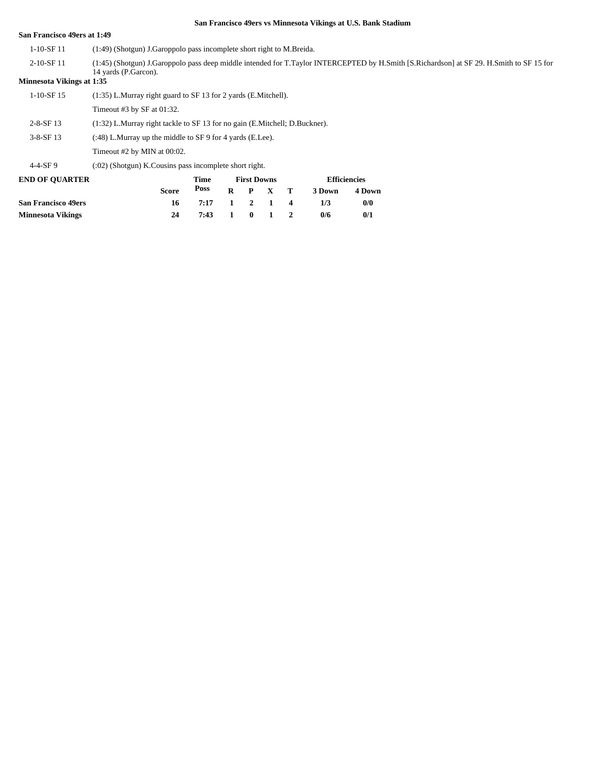#### **San Francisco 49ers at 1:49**

- 1-10-SF 11 (1:49) (Shotgun) J.Garoppolo pass incomplete short right to M.Breida.
- (1:45) (Shotgun) J.Garoppolo pass deep middle intended for T.Taylor INTERCEPTED by H.Smith [S.Richardson] at SF 29. H.Smith to SF 15 for 14 yards (P.Garcon). 2-10-SF 11

#### **Minnesota Vikings at 1:35**

| <b>END OF OUARTER</b> |                                                                              | Time | <b>First Downs</b> | <b>Efficiencie</b> |
|-----------------------|------------------------------------------------------------------------------|------|--------------------|--------------------|
| $4 - 4 - SF9$         | $(0.02)$ (Shotgun) K. Cousins pass incomplete short right.                   |      |                    |                    |
|                       | Timeout #2 by MIN at 00:02.                                                  |      |                    |                    |
| $3-8-$ SF 13          | $(348)$ L.Murray up the middle to SF 9 for 4 yards (E.Lee).                  |      |                    |                    |
| $2 - 8 - SF$ 13       | $(1:32)$ L.Murray right tackle to SF 13 for no gain (E.Mitchell; D.Buckner). |      |                    |                    |
|                       | Timeout #3 by SF at $01:32$ .                                                |      |                    |                    |
| $1-10-SF$ 15          | (1:35) L.Murray right guard to SF 13 for 2 yards (E.Mitchell).               |      |                    |                    |
|                       |                                                                              |      |                    |                    |

| <b>END OF OUARTER</b> |              | Time         |  | <b>First Downs</b> | <b>Efficiencies</b> |        |  |  |
|-----------------------|--------------|--------------|--|--------------------|---------------------|--------|--|--|
|                       | <b>Score</b> | Poss         |  | $R$ $P$ $X$ $T$    | 3 Down              | 4 Down |  |  |
| San Francisco 49ers   | -16          | 7:17 1 2 1 4 |  |                    | 1/3                 | 0/0    |  |  |
| Minnesota Vikings     | 24           | 7:43 1 0 1 2 |  |                    | 0/6                 | 0/1    |  |  |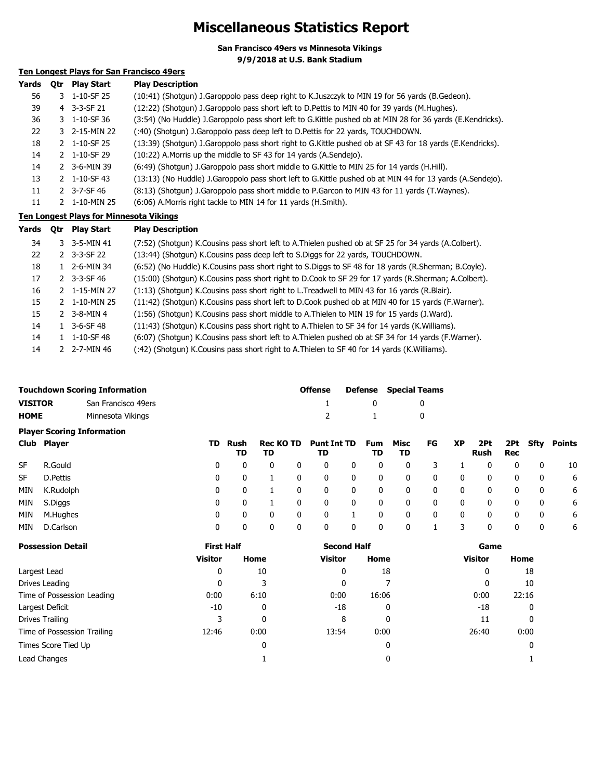## **Miscellaneous Statistics Report**

**San Francisco 49ers vs Minnesota Vikings**

**9/9/2018 at U.S. Bank Stadium**

## **Ten Longest Plays for San Francisco 49ers**

| Yards | Otr | <b>Play Start</b> | <b>Play Description</b>                                                                                    |
|-------|-----|-------------------|------------------------------------------------------------------------------------------------------------|
| 56    |     | 3 1-10-SF 25      | (10:41) (Shotgun) J.Garoppolo pass deep right to K.Juszczyk to MIN 19 for 56 yards (B.Gedeon).             |
| 39    |     | 4 3-3-SF 21       | (12:22) (Shotgun) J.Garoppolo pass short left to D.Pettis to MIN 40 for 39 yards (M.Hughes).               |
| 36    |     | 3 1-10-SF 36      | (3:54) (No Huddle) J.Garoppolo pass short left to G.Kittle pushed ob at MIN 28 for 36 yards (E.Kendricks). |
| 22    |     | 3 2-15-MIN 22     | (:40) (Shotgun) J.Garoppolo pass deep left to D.Pettis for 22 yards, TOUCHDOWN.                            |
| 18    |     | 2 1-10-SF 25      | (13:39) (Shotgun) J.Garoppolo pass short right to G.Kittle pushed ob at SF 43 for 18 yards (E.Kendricks).  |
| 14    |     | 2 1-10-SF 29      | (10:22) A. Morris up the middle to SF 43 for 14 yards (A. Sendejo).                                        |
| 14    |     | 2 3-6-MIN 39      | (6:49) (Shotgun) J.Garoppolo pass short middle to G.Kittle to MIN 25 for 14 yards (H.Hill).                |
| 13    |     | 2 1-10-SF 43      | (13:13) (No Huddle) J.Garoppolo pass short left to G.Kittle pushed ob at MIN 44 for 13 yards (A.Sendejo).  |
| 11    |     | 2 3-7-SF 46       | (8:13) (Shotgun) J.Garoppolo pass short middle to P.Garcon to MIN 43 for 11 yards (T.Waynes).              |
| 11    | 2   | 1-10-MIN 25       | (6:06) A. Morris right tackle to MIN 14 for 11 yards (H. Smith).                                           |

#### **Ten Longest Plays for Minnesota Vikings**

| Yards | 0tr | <b>Play Start</b>             | <b>Play Description</b>                                                                              |
|-------|-----|-------------------------------|------------------------------------------------------------------------------------------------------|
| 34    |     | 3 3-5-MIN 41                  | (7:52) (Shotgun) K.Cousins pass short left to A.Thielen pushed ob at SF 25 for 34 yards (A.Colbert). |
| 22    |     | $2$ 3-3-SF 22                 | (13:44) (Shotgun) K.Cousins pass deep left to S.Diggs for 22 yards, TOUCHDOWN.                       |
| 18    |     | 1 2-6-MIN 34                  | (6:52) (No Huddle) K.Cousins pass short right to S.Diggs to SF 48 for 18 yards (R.Sherman; B.Coyle). |
| 17    |     | $2$ 3-3-SF 46                 | (15:00) (Shotgun) K.Cousins pass short right to D.Cook to SF 29 for 17 yards (R.Sherman; A.Colbert). |
| 16    |     | 2 1-15-MIN 27                 | (1:13) (Shotgun) K.Cousins pass short right to L.Treadwell to MIN 43 for 16 yards (R.Blair).         |
| 15    |     | 2 1-10-MIN 25                 | (11:42) (Shotgun) K.Cousins pass short left to D.Cook pushed ob at MIN 40 for 15 yards (F.Warner).   |
| 15    |     | 2 $3 - 8 - MIN$ 4             | (1:56) (Shotgun) K.Cousins pass short middle to A.Thielen to MIN 19 for 15 yards (J.Ward).           |
| 14    |     | $1 \quad 3 - 6 - SF \quad 48$ | (11:43) (Shotgun) K.Cousins pass short right to A.Thielen to SF 34 for 14 yards (K.Williams).        |
| 14    |     | 1 1-10-SF 48                  | (6:07) (Shotgun) K.Cousins pass short left to A.Thielen pushed ob at SF 34 for 14 yards (F.Warner).  |
| 14    |     | 2 2-7-MIN 46                  | (:42) (Shotgun) K.Cousins pass short right to A.Thielen to SF 40 for 14 yards (K.Williams).          |

|             | <b>Touchdown Scoring Information</b> | <b>Offense</b> |              | <b>Defense</b> Special Teams |
|-------------|--------------------------------------|----------------|--------------|------------------------------|
| VISITOR     | San Francisco 49ers                  |                | $\mathbf{0}$ |                              |
| <b>HOME</b> | Minnesota Vikings                    |                | $\sim$ 1     |                              |

| <b>Player Scoring Information</b> |  |
|-----------------------------------|--|
|-----------------------------------|--|

|           | Club Player |   | TD Rush<br>TD | TD |   | Rec KO TD Punt Int TD<br>TD |   | Fum<br>TD | Misc<br>TD   | FG | <b>XP</b> | 2Pt<br>Rush | <b>Rec</b> |   | 2Pt Sfty Points |
|-----------|-------------|---|---------------|----|---|-----------------------------|---|-----------|--------------|----|-----------|-------------|------------|---|-----------------|
| <b>SF</b> | R.Gould     | 0 | 0             |    | 0 | 0                           | 0 | 0         | 0            |    |           | 0           |            |   | 10              |
| <b>SF</b> | D.Pettis    | 0 | 0             |    | 0 | 0                           | 0 | 0         | 0            | 0  | 0         | 0           | 0          | 0 | 6               |
| MIN       | K.Rudolph   | 0 | 0             |    | 0 | 0                           | 0 | 0         | 0            | 0  | 0         | 0           | 0          | 0 | 6               |
| MIN       | S.Diggs     | 0 | 0             |    | 0 | 0                           | 0 | 0         | $\mathbf{0}$ | 0  | 0         | 0           | $\Omega$   | 0 | 6               |
| MIN       | M.Hughes    | 0 | 0             |    | 0 | 0                           |   | 0         | 0            | 0  | 0         | 0           | 0          | 0 | 6               |
| MIN       | D.Carlson   | 0 | 0             |    |   | 0                           | 0 | 0         | 0            |    | 3         | 0           |            | 0 | 6               |

| <b>Possession Detail</b>    | <b>First Half</b> |      | <b>Second Half</b> |       | Game           |       |  |  |
|-----------------------------|-------------------|------|--------------------|-------|----------------|-------|--|--|
|                             | <b>Visitor</b>    | Home | <b>Visitor</b>     | Home  | <b>Visitor</b> | Home  |  |  |
| Largest Lead                | 0                 | 10   | 0                  | 18    | 0              | 18    |  |  |
| Drives Leading              | 0                 | 3    |                    |       | 0              | 10    |  |  |
| Time of Possession Leading  | 0:00              | 6:10 | 0:00               | 16:06 | 0:00           | 22:16 |  |  |
| Largest Deficit             | $-10$             | 0    | $-18$              | 0     | -18            | 0     |  |  |
| Drives Trailing             |                   | 0    | 8                  | 0     | 11             | 0     |  |  |
| Time of Possession Trailing | 12:46             | 0:00 | 13:54              | 0:00  | 26:40          | 0:00  |  |  |
| Times Score Tied Up         |                   | 0    |                    | 0     |                | 0     |  |  |
| Lead Changes                |                   |      |                    | 0     |                |       |  |  |